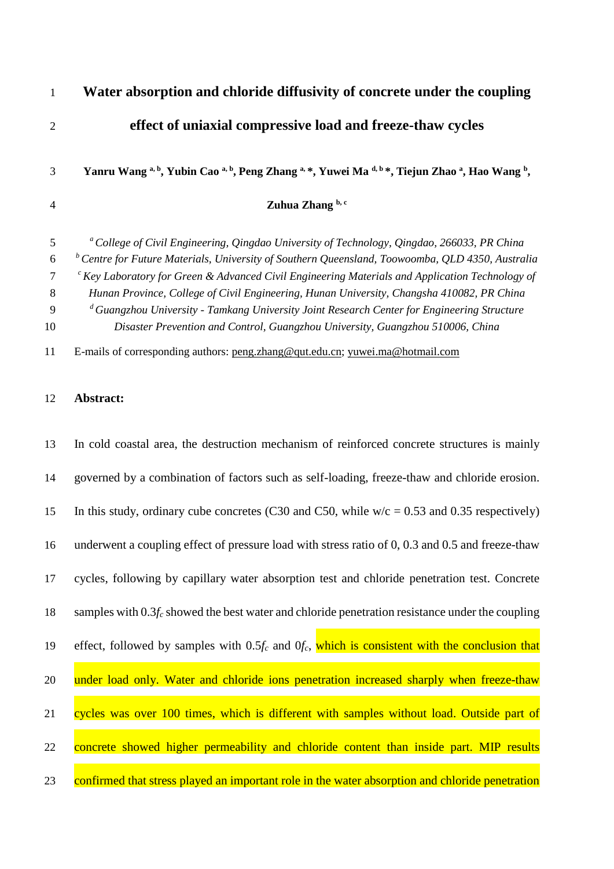| $\mathbf{1}$                | Water absorption and chloride diffusivity of concrete under the coupling                                                                                                                                                                                                                                                                                                                                                                                                                                                                                                                                          |
|-----------------------------|-------------------------------------------------------------------------------------------------------------------------------------------------------------------------------------------------------------------------------------------------------------------------------------------------------------------------------------------------------------------------------------------------------------------------------------------------------------------------------------------------------------------------------------------------------------------------------------------------------------------|
| $\overline{2}$              | effect of uniaxial compressive load and freeze-thaw cycles                                                                                                                                                                                                                                                                                                                                                                                                                                                                                                                                                        |
| 3                           | Yanru Wang a, b, Yubin Cao a, b, Peng Zhang a, *, Yuwei Ma d, b *, Tiejun Zhao a, Hao Wang b,                                                                                                                                                                                                                                                                                                                                                                                                                                                                                                                     |
| $\overline{4}$              | Zuhua Zhang b, c                                                                                                                                                                                                                                                                                                                                                                                                                                                                                                                                                                                                  |
| 5<br>6<br>7<br>8<br>9<br>10 | <sup>a</sup> College of Civil Engineering, Qingdao University of Technology, Qingdao, 266033, PR China<br>$b$ Centre for Future Materials, University of Southern Queensland, Toowoomba, QLD 4350, Australia<br>$\epsilon$ Key Laboratory for Green & Advanced Civil Engineering Materials and Application Technology of<br>Hunan Province, College of Civil Engineering, Hunan University, Changsha 410082, PR China<br><sup>d</sup> Guangzhou University - Tamkang University Joint Research Center for Engineering Structure<br>Disaster Prevention and Control, Guangzhou University, Guangzhou 510006, China |
| 11                          | E-mails of corresponding authors: peng.zhang@qut.edu.cn; yuwei.ma@hotmail.com                                                                                                                                                                                                                                                                                                                                                                                                                                                                                                                                     |
| 12                          | Abstract:                                                                                                                                                                                                                                                                                                                                                                                                                                                                                                                                                                                                         |
| 13                          | In cold coastal area, the destruction mechanism of reinforced concrete structures is mainly                                                                                                                                                                                                                                                                                                                                                                                                                                                                                                                       |
| 14                          | governed by a combination of factors such as self-loading, freeze-thaw and chloride erosion.                                                                                                                                                                                                                                                                                                                                                                                                                                                                                                                      |
| 15                          | In this study, ordinary cube concretes (C30 and C50, while $w/c = 0.53$ and 0.35 respectively)                                                                                                                                                                                                                                                                                                                                                                                                                                                                                                                    |
| 16                          | underwent a coupling effect of pressure load with stress ratio of 0, 0.3 and 0.5 and freeze-thaw                                                                                                                                                                                                                                                                                                                                                                                                                                                                                                                  |
| 17                          | cycles, following by capillary water absorption test and chloride penetration test. Concrete                                                                                                                                                                                                                                                                                                                                                                                                                                                                                                                      |
| 18                          | samples with $0.3f_c$ showed the best water and chloride penetration resistance under the coupling                                                                                                                                                                                                                                                                                                                                                                                                                                                                                                                |

19 effect, followed by samples with 0.5*f<sup>c</sup>* and 0*fc*, which is consistent with the conclusion that

20 under load only. Water and chloride ions penetration increased sharply when freeze-thaw

21 cycles was over 100 times, which is different with samples without load. Outside part of

22 concrete showed higher permeability and chloride content than inside part. MIP results

23 confirmed that stress played an important role in the water absorption and chloride penetration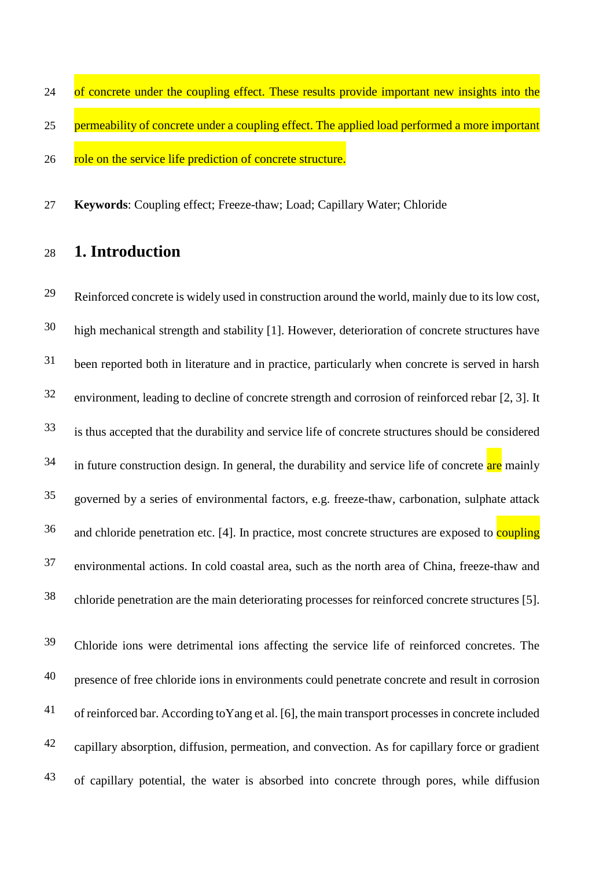24 of concrete under the coupling effect. These results provide important new insights into the 25 permeability of concrete under a coupling effect. The applied load performed a more important 26 role on the service life prediction of concrete structure.

**Keywords**: Coupling effect; Freeze-thaw; Load; Capillary Water; Chloride

## **1. Introduction**

29 Reinforced concrete is widely used in construction around the world, mainly due to its low cost, high mechanical strength and stability [\[1\]](#page-22-0). However, deterioration of concrete structures have been reported both in literature and in practice, particularly when concrete is served in harsh environment, leading to decline of concrete strength and corrosion of reinforced rebar [\[2,](#page-22-1) [3\]](#page-22-2). It is thus accepted that the durability and service life of concrete structures should be considered in future construction design. In general, the durability and service life of concrete are mainly governed by a series of environmental factors, e.g. freeze-thaw, carbonation, sulphate attack and chloride penetration etc. [\[4\]](#page-22-3). In practice, most concrete structures are exposed to coupling environmental actions. In cold coastal area, such as the north area of China, freeze-thaw and chloride penetration are the main deteriorating processes for reinforced concrete structures [\[5\]](#page-22-4). 

Chloride ions were detrimental ions affecting the service life of reinforced concretes. The presence of free chloride ions in environments could penetrate concrete and result in corrosion <sup>41</sup> of reinforced bar. According to Yang et al. [6], the main transport processes in concrete included 42 capillary absorption, diffusion, permeation, and convection. As for capillary force or gradient <sup>43</sup> of capillary potential, the water is absorbed into concrete through pores, while diffusion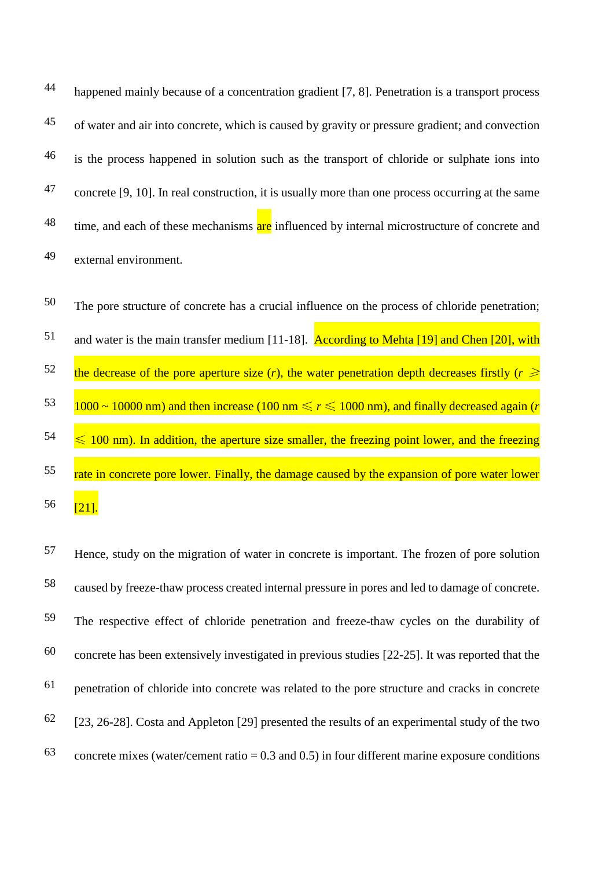happened mainly because of a concentration gradient [\[7,](#page-22-6) [8\]](#page-22-7). Penetration is a transport process 44 <sup>45</sup> of water and air into concrete, which is caused by gravity or pressure gradient; and convection <sup>46</sup> is the process happened in solution such as the transport of chloride or sulphate ions into 47 concrete [\[9,](#page-22-8) [10\]](#page-22-9). In real construction, it is usually more than one process occurring at the same <sup>48</sup> time, and each of these mechanisms are influenced by internal microstructure of concrete and external environment. 49



Frace, study on the migration of water in concrete is important. The frozen of pore solution caused by freeze-thaw process created internal pressure in pores and led to damage of concrete. 58 The respective effect of chloride penetration and freeze-thaw cycles on the durability of  $60$  concrete has been extensively investigated in previous studies [\[22-25\]](#page-23-3). It was reported that the  $61$  penetration of chloride into concrete was related to the pore structure and cracks in concrete  $[23, 26-28]$  $[23, 26-28]$ . [Costa and Appleton \[29\]](#page-23-6) presented the results of an experimental study of the two 63 concrete mixes (water/cement ratio =  $0.3$  and  $0.5$ ) in four different marine exposure conditions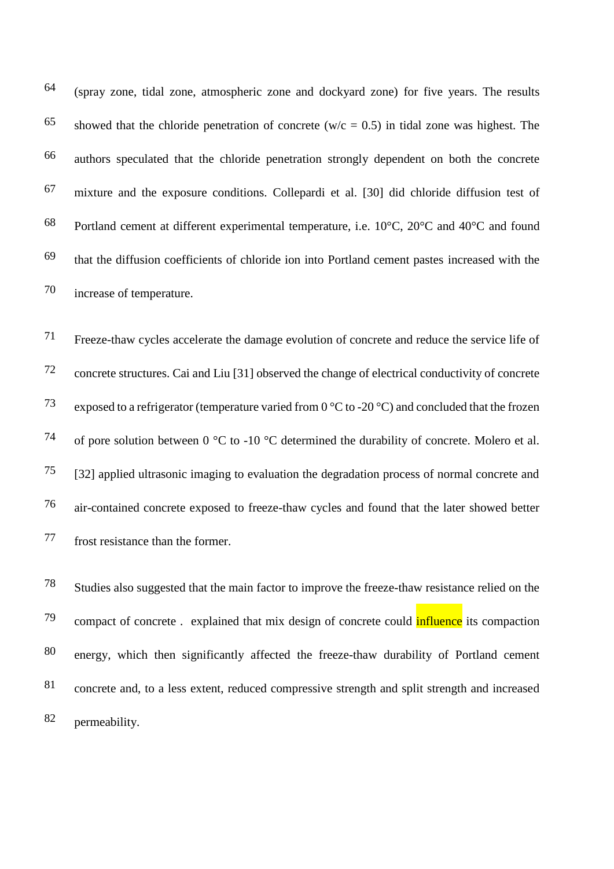(spray zone, tidal zone, atmospheric zone and dockyard zone) for five years. The results 64 65 showed that the chloride penetration of concrete (w/c = 0.5) in tidal zone was highest. The authors speculated that the chloride penetration strongly dependent on both the concrete 66  $67$  mixture and the exposure conditions. [Collepardi et al. \[30\]](#page-23-7) did chloride diffusion test of 68 Portland cement at different experimental temperature, i.e.  $10^{\circ}$ C,  $20^{\circ}$ C and  $40^{\circ}$ C and found  $t_{\text{total}}$  that the diffusion coefficients of chloride ion into Portland cement pastes increased with the 70 increase of temperature.

Freeze-thaw cycles accelerate the damage evolution of concrete and reduce the service life of 71 concrete structures. [Cai and Liu \[31\]](#page-23-8) observed the change of electrical conductivity of concrete 72 <sup>73</sup> exposed to a refrigerator (temperature varied from 0  $\degree$ C to -20  $\degree$ C) and concluded that the frozen <sup>74</sup> of pore solution between 0  $^{\circ}$ C to -10  $^{\circ}$ C determined the durability of concrete. Molero et al.  $[32]$  applied ultrasonic imaging to evaluation the degradation process of normal concrete and air-contained concrete exposed to freeze-thaw cycles and found that the later showed better 76 77 frost resistance than the former.

Studies also suggested that the main factor to improve the freeze-thaw resistance relied on the 78 <sup>79</sup> compact of concrete . explained that mix design of concrete could **influence** its compaction 80 energy, which then significantly affected the freeze-thaw durability of Portland cement concrete and, to a less extent, reduced compressive strength and split strength and increased 81 82 permeability.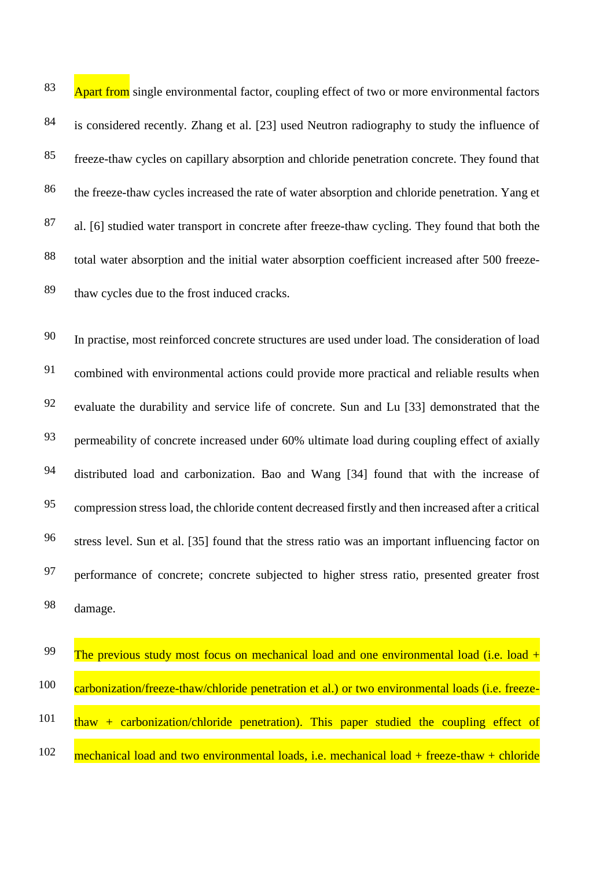83 Apart from single environmental factor, coupling effect of two or more environmental factors is considered recently. [Zhang et al. \[23\]](#page-23-4) used Neutron radiography to study the influence of 84 freeze-thaw cycles on capillary absorption and chloride penetration concrete. They found that 85 86 the freeze-thaw cycles increased the rate of water absorption and chloride penetration. Yang et 87 al. [6] studied water transport in concrete after freeze-thaw cycling. They found that both the total water absorption and the initial water absorption coefficient increased after 500 freeze-88 thaw cycles due to the frost induced cracks. 89

In practise, most reinforced concrete structures are used under load. The consideration of load 90 <sup>91</sup> combined with environmental actions could provide more practical and reliable results when <sup>92</sup> evaluate the durability and service life of concrete. [Sun and Lu \[33\]](#page-23-10) demonstrated that the permeability of concrete increased under 60% ultimate load during coupling effect of axially 93 <sup>94</sup> distributed load and carbonization. [Bao and Wang \[34\]](#page-23-11) found that with the increase of compression stress load, the chloride content decreased firstly and then increased after a critical 95 stress level. [Sun et al. \[35\]](#page-23-12) found that the stress ratio was an important influencing factor on 96 97 performance of concrete; concrete subjected to higher stress ratio, presented greater frost damage. 98

| -99 | The previous study most focus on mechanical load and one environmental load (i.e. load $+$          |
|-----|-----------------------------------------------------------------------------------------------------|
| 100 | carbonization/freeze-thaw/chloride penetration et al.) or two environmental loads (i.e. freeze-     |
| 101 | $\frac{1}{2}$ thaw + carbonization/chloride penetration). This paper studied the coupling effect of |
| 102 | mechanical load and two environmental loads, i.e. mechanical load $+$ freeze-thaw $+$ chloride      |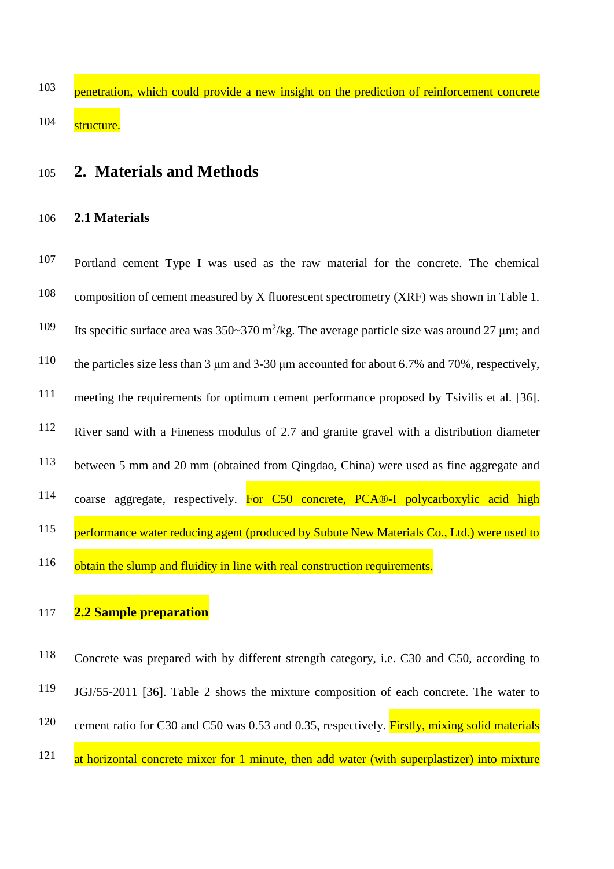penetration, which could provide a new insight on the prediction of reinforcement concrete 104 structure.

### <sup>105</sup> **2. Materials and Methods**

#### 106 **2.1 Materials**

Portland cement Type I was used as the raw material for the concrete. The chemical 107 composition of cement measured by X fluorescent spectrometry (XRF) was shown in Table 1. 108 109 Its specific surface area was  $350~370$  m<sup>2</sup>/kg. The average particle size was around 27  $\mu$ m; and the particles size less than 3  $\mu$ m and 3-30  $\mu$ m accounted for about 6.7% and 70%, respectively, meeting the requirements for optimum cement performance proposed by [Tsivilis et al. \[36\].](#page-23-13) 111 River sand with a Fineness modulus of 2.7 and granite gravel with a distribution diameter between 5 mm and 20 mm (obtained from Qingdao, China) were used as fine aggregate and 113 114 coarse aggregate, respectively. For C50 concrete, PCA®-I polycarboxylic acid high 115 performance water reducing agent (produced by Subute New Materials Co., Ltd.) were used to obtain the slump and fluidity in line with real construction requirements. 116

#### 117 **2.2 Sample preparation**

118 Concrete was prepared with by different strength category, i.e. C30 and C50, according to 119 JGJ/55-2011 [\[36\]](#page-23-13). Table 2 shows the mixture composition of each concrete. The water to <sup>120</sup> cement ratio for C30 and C50 was 0.53 and 0.35, respectively. Firstly, mixing solid materials  $\frac{121}{\text{at horizontal concrete mixer for 1 minute, then add water (with superplastic)}$  into mixture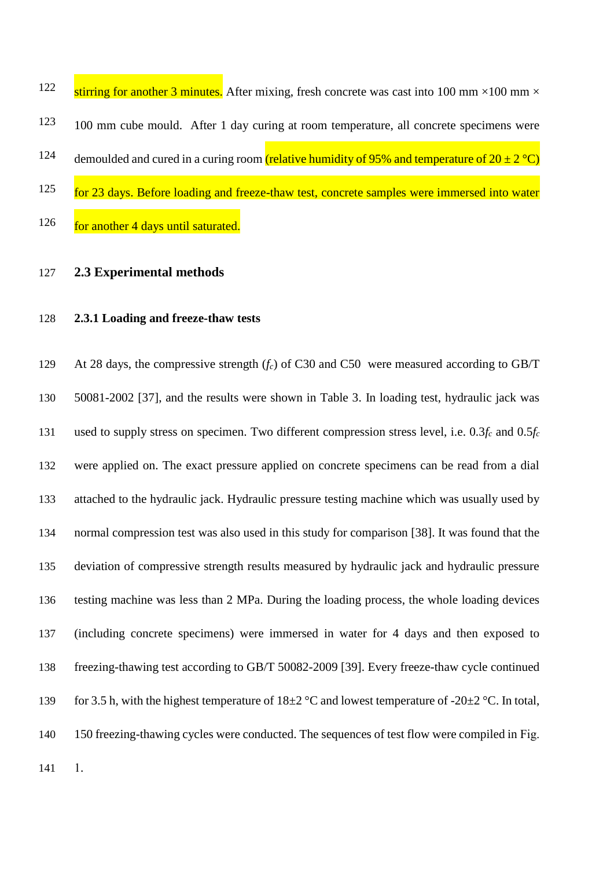| 122 | stirring for another 3 minutes. After mixing, fresh concrete was cast into 100 mm $\times$ 100 mm $\times$ |
|-----|------------------------------------------------------------------------------------------------------------|
| 123 | 100 mm cube mould. After 1 day curing at room temperature, all concrete specimens were                     |
| 124 | demoulded and cured in a curing room (relative humidity of 95% and temperature of $20 \pm 2$ °C)           |
| 125 | for 23 days. Before loading and freeze-thaw test, concrete samples were immersed into water                |
| 126 | for another 4 days until saturated.                                                                        |

#### **2.3 Experimental methods**

#### **2.3.1 Loading and freeze-thaw tests**

 At 28 days, the compressive strength (*fc*) of C30 and C50 were measured according to GB/T 50081-2002 [\[37\]](#page-24-0), and the results were shown in Table 3. In loading test, hydraulic jack was used to supply stress on specimen. Two different compression stress level, i.e. 0.3*f<sup>c</sup>* and 0.5*f<sup>c</sup>* were applied on. The exact pressure applied on concrete specimens can be read from a dial attached to the hydraulic jack. Hydraulic pressure testing machine which was usually used by normal compression test was also used in this study for comparison [\[38\]](#page-24-1). It was found that the deviation of compressive strength results measured by hydraulic jack and hydraulic pressure testing machine was less than 2 MPa. During the loading process, the whole loading devices (including concrete specimens) were immersed in water for 4 days and then exposed to freezing-thawing test according to GB/T 50082-2009 [\[39\]](#page-24-2). Every freeze-thaw cycle continued 139 for 3.5 h, with the highest temperature of  $18\pm2$  °C and lowest temperature of -20 $\pm$ 2 °C. In total, 150 freezing-thawing cycles were conducted. The sequences of test flow were compiled in [Fig.](#page-30-0) 

[1.](#page-30-0)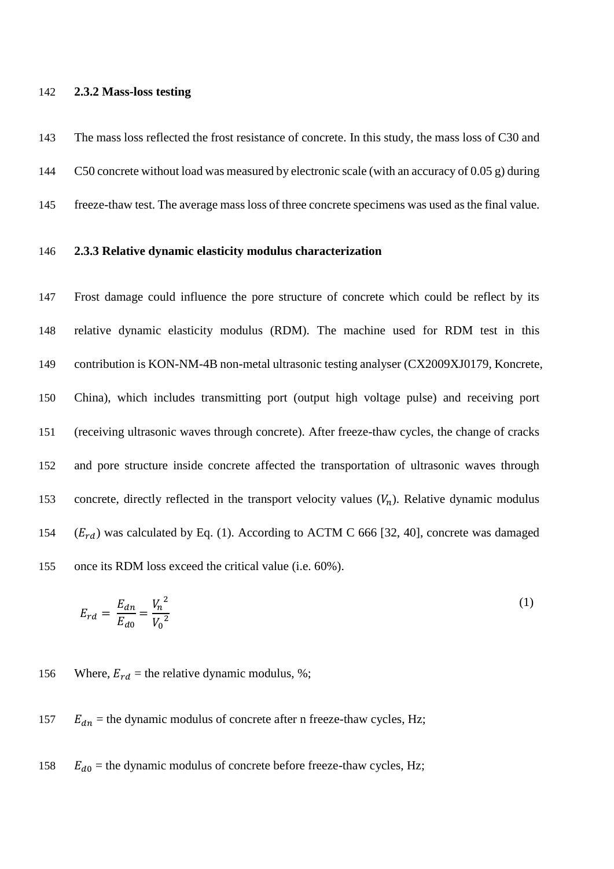#### **2.3.2 Mass-loss testing**

 The mass loss reflected the frost resistance of concrete. In this study, the mass loss of C30 and C50 concrete without load was measured by electronic scale (with an accuracy of 0.05 g) during freeze-thaw test. The average mass loss of three concrete specimens was used as the final value.

#### **2.3.3 Relative dynamic elasticity modulus characterization**

 Frost damage could influence the pore structure of concrete which could be reflect by its relative dynamic elasticity modulus (RDM). The machine used for RDM test in this contribution is KON-NM-4B non-metal ultrasonic testing analyser (CX2009XJ0179, Koncrete, China), which includes transmitting port (output high voltage pulse) and receiving port (receiving ultrasonic waves through concrete). After freeze-thaw cycles, the change of cracks and pore structure inside concrete affected the transportation of ultrasonic waves through 153 concrete, directly reflected in the transport velocity values  $(V_n)$ . Relative dynamic modulus  $(E_{rd})$  was calculated by Eq. (1). According to ACTM C 666 [\[32,](#page-23-9) [40\]](#page-24-3), concrete was damaged once its RDM loss exceed the critical value (i.e. 60%).

$$
E_{rd} = \frac{E_{dn}}{E_{d0}} = \frac{{V_n}^2}{V_0{}^2}
$$
 (1)

156 Where,  $E_{rd}$  = the relative dynamic modulus, %;

#### 157  $E_{dn}$  = the dynamic modulus of concrete after n freeze-thaw cycles, Hz;

158  $E_{d0}$  = the dynamic modulus of concrete before freeze-thaw cycles, Hz;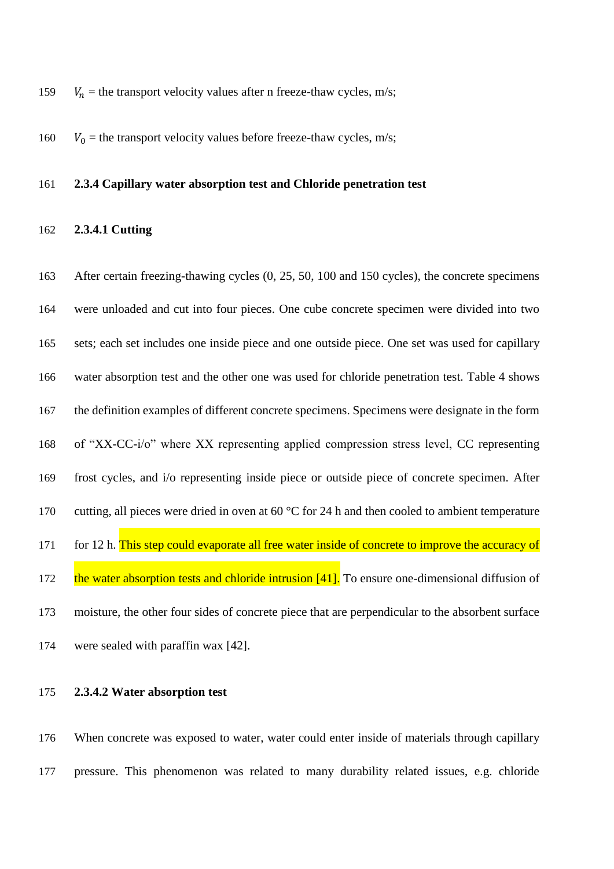- 159  $V_n$  = the transport velocity values after n freeze-thaw cycles, m/s;
- 160  $V_0$  = the transport velocity values before freeze-thaw cycles, m/s;

#### **2.3.4 Capillary water absorption test and Chloride penetration test**

#### **2.3.4.1 Cutting**

 After certain freezing-thawing cycles (0, 25, 50, 100 and 150 cycles), the concrete specimens were unloaded and cut into four pieces. One cube concrete specimen were divided into two sets; each set includes one inside piece and one outside piece. One set was used for capillary water absorption test and the other one was used for chloride penetration test. Table 4 shows the definition examples of different concrete specimens. Specimens were designate in the form of "XX-CC-i/o" where XX representing applied compression stress level, CC representing frost cycles, and i/o representing inside piece or outside piece of concrete specimen. After 170 cutting, all pieces were dried in oven at 60 °C for 24 h and then cooled to ambient temperature 171 for 12 h. This step could evaporate all free water inside of concrete to improve the accuracy of 172 the water absorption tests and chloride intrusion [\[41\]](#page-24-4). To ensure one-dimensional diffusion of moisture, the other four sides of concrete piece that are perpendicular to the absorbent surface were sealed with paraffin wax [\[42\]](#page-24-5).

#### **2.3.4.2 Water absorption test**

 When concrete was exposed to water, water could enter inside of materials through capillary pressure. This phenomenon was related to many durability related issues, e.g. chloride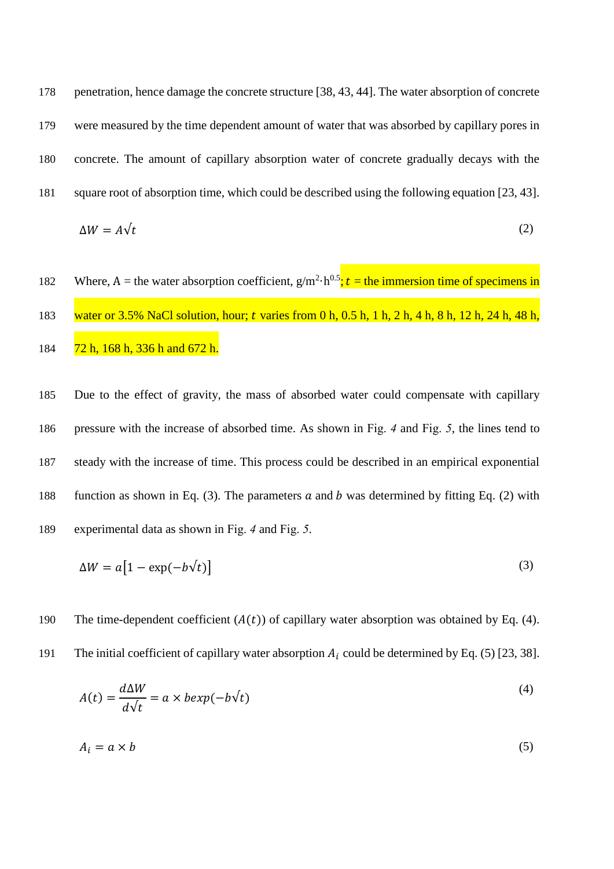178 penetration, hence damage the concrete structure [\[38,](#page-24-1) [43,](#page-24-6) [44\]](#page-24-7). The water absorption of concrete 179 were measured by the time dependent amount of water that was absorbed by capillary pores in 180 concrete. The amount of capillary absorption water of concrete gradually decays with the 181 square root of absorption time, which could be described using the following equation [\[23,](#page-23-4) [43\]](#page-24-6).  $\Delta W = A \sqrt{t}$  (2)

182 Where, A = the water absorption coefficient,  $g/m^2 \cdot h^{0.5}$ ; t = the immersion time of specimens in 183 water or 3.5% NaCl solution, hour; *t* varies from 0 h, 0.5 h, 1 h, 2 h, 4 h, 8 h, 12 h, 24 h, 48 h, 184 72 h, 168 h, 336 h and 672 h.

 Due to the effect of gravity, the mass of absorbed water could compensate with capillary pressure with the increase of absorbed time. As shown in [Fig.](#page-33-0) *4* and [Fig.](#page-34-0) *5*, the lines tend to steady with the increase of time. This process could be described in an empirical exponential 188 function as shown in Eq. (3). The parameters  $\alpha$  and  $\beta$  was determined by fitting Eq. (2) with experimental data as shown in [Fig.](#page-33-0) *4* and [Fig.](#page-34-0) *5*.

$$
\Delta W = a \big[ 1 - \exp(-b\sqrt{t}) \big] \tag{3}
$$

190 The time-dependent coefficient  $(A(t))$  of capillary water absorption was obtained by Eq. (4).

191 The initial coefficient of capillary water absorption  $A_i$  could be determined by Eq. (5) [\[23,](#page-23-4) [38\]](#page-24-1).

$$
A(t) = \frac{d\Delta W}{d\sqrt{t}} = a \times bexp(-b\sqrt{t})
$$
\n<sup>(4)</sup>

$$
A_i = a \times b \tag{5}
$$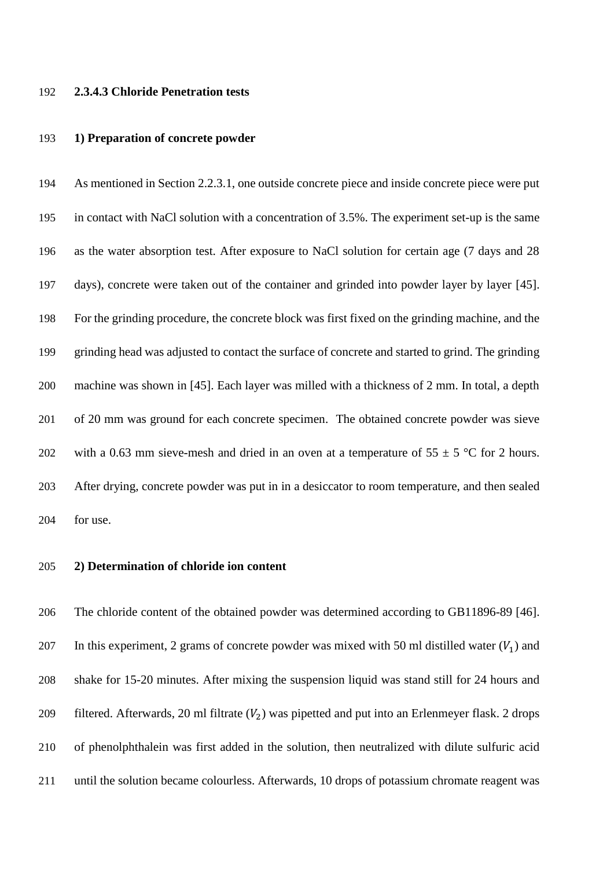#### **2.3.4.3 Chloride Penetration tests**

#### **1) Preparation of concrete powder**

 As mentioned in Section 2.2.3.1, one outside concrete piece and inside concrete piece were put in contact with NaCl solution with a concentration of 3.5%. The experiment set-up is the same as the water absorption test. After exposure to NaCl solution for certain age (7 days and 28 days), concrete were taken out of the container and grinded into powder layer by layer [\[45\]](#page-24-8). For the grinding procedure, the concrete block was first fixed on the grinding machine, and the grinding head was adjusted to contact the surface of concrete and started to grind. The grinding machine was shown in [\[45\]](#page-24-8). Each layer was milled with a thickness of 2 mm. In total, a depth of 20 mm was ground for each concrete specimen. The obtained concrete powder was sieve 202 with a 0.63 mm sieve-mesh and dried in an oven at a temperature of  $55 \pm 5$  °C for 2 hours. After drying, concrete powder was put in in a desiccator to room temperature, and then sealed for use.

#### **2) Determination of chloride ion content**

 The chloride content of the obtained powder was determined according to GB11896-89 [\[46\]](#page-24-9). 207 In this experiment, 2 grams of concrete powder was mixed with 50 ml distilled water  $(V_1)$  and shake for 15-20 minutes. After mixing the suspension liquid was stand still for 24 hours and 209 filtered. Afterwards, 20 ml filtrate  $(V_2)$  was pipetted and put into an Erlenmeyer flask. 2 drops of phenolphthalein was first added in the solution, then neutralized with dilute sulfuric acid until the solution became colourless. Afterwards, 10 drops of potassium chromate reagent was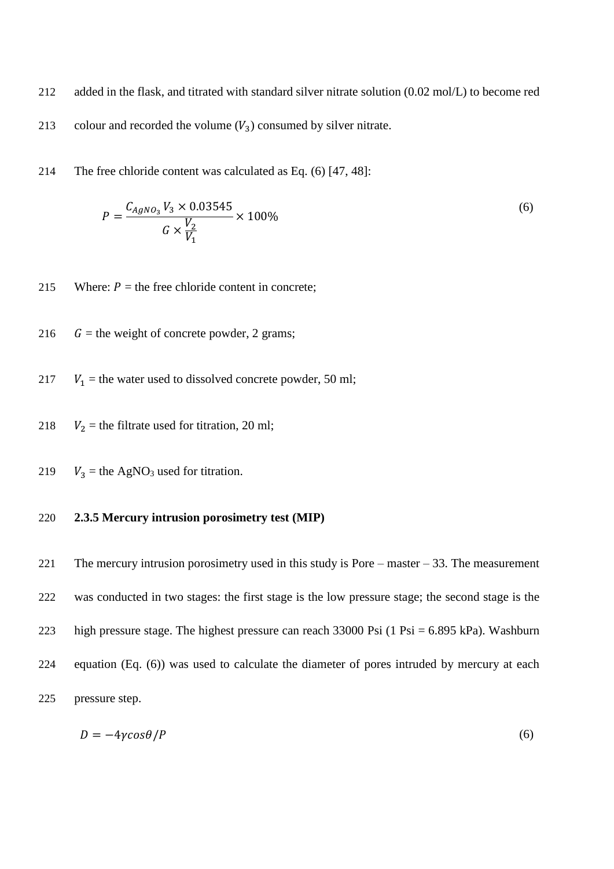- 212 added in the flask, and titrated with standard silver nitrate solution (0.02 mol/L) to become red 213 colour and recorded the volume  $(V_3)$  consumed by silver nitrate.
- 214 The free chloride content was calculated as Eq. (6) [\[47,](#page-24-10) [48\]](#page-24-11):

$$
P = \frac{C_{AgNO_3} V_3 \times 0.03545}{G \times \frac{V_2}{V_1}} \times 100\%
$$
\n(6)

- 215 Where:  $P =$  the free chloride content in concrete;
- 216  $G =$  the weight of concrete powder, 2 grams;
- 217  $V_1$  = the water used to dissolved concrete powder, 50 ml;
- 218  $V_2$  = the filtrate used for titration, 20 ml;
- 219  $V_3$  = the AgNO<sub>3</sub> used for titration.

#### 220 **2.3.5 Mercury intrusion porosimetry test (MIP)**

 The mercury intrusion porosimetry used in this study is Pore – master – 33. The measurement was conducted in two stages: the first stage is the low pressure stage; the second stage is the high pressure stage. The highest pressure can reach 33000 Psi (1 Psi = 6.895 kPa). Washburn equation (Eq. (6)) was used to calculate the diameter of pores intruded by mercury at each pressure step.

$$
D = -4\gamma\cos\theta/P\tag{6}
$$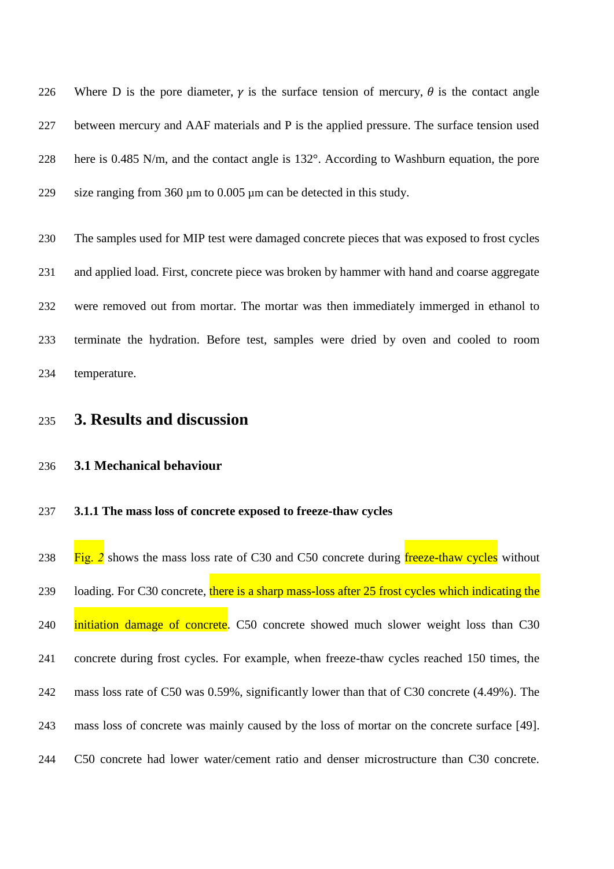226 Where D is the pore diameter,  $\gamma$  is the surface tension of mercury,  $\theta$  is the contact angle between mercury and AAF materials and P is the applied pressure. The surface tension used here is 0.485 N/m, and the contact angle is 132°. According to Washburn equation, the pore 229 size ranging from 360  $\mu$ m to 0.005  $\mu$ m can be detected in this study.

 The samples used for MIP test were damaged concrete pieces that was exposed to frost cycles and applied load. First, concrete piece was broken by hammer with hand and coarse aggregate were removed out from mortar. The mortar was then immediately immerged in ethanol to terminate the hydration. Before test, samples were dried by oven and cooled to room temperature.

### **3. Results and discussion**

#### **3.1 Mechanical behaviour**

#### **3.1.1 The mass loss of concrete exposed to freeze-thaw cycles**

[Fig.](#page-31-0) 2 shows the mass loss rate of C30 and C50 concrete during freeze-thaw cycles without 239 loading. For C30 concrete, there is a sharp mass-loss after 25 frost cycles which indicating the 240 initiation damage of concrete. C50 concrete showed much slower weight loss than C30 concrete during frost cycles. For example, when freeze-thaw cycles reached 150 times, the mass loss rate of C50 was 0.59%, significantly lower than that of C30 concrete (4.49%). The mass loss of concrete was mainly caused by the loss of mortar on the concrete surface [\[49\]](#page-24-12). C50 concrete had lower water/cement ratio and denser microstructure than C30 concrete.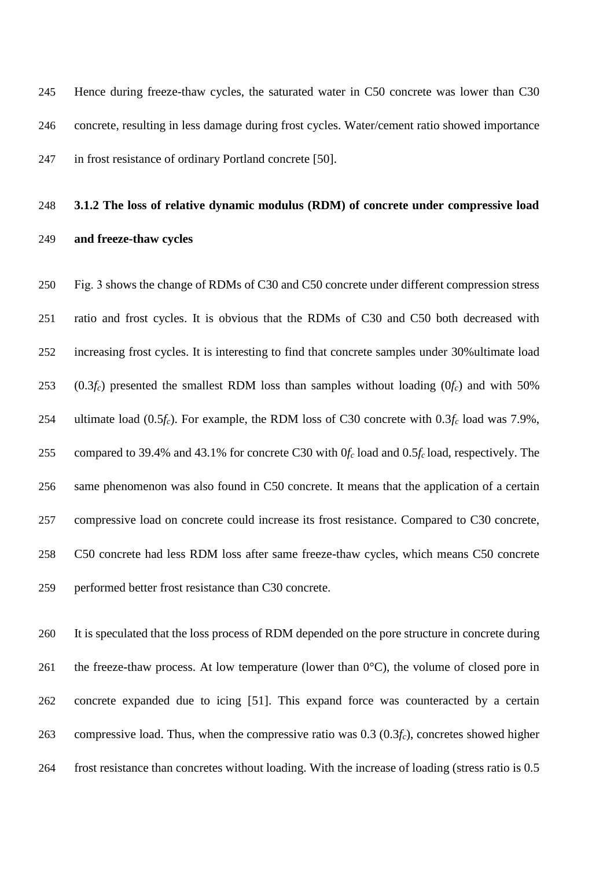Hence during freeze-thaw cycles, the saturated water in C50 concrete was lower than C30 concrete, resulting in less damage during frost cycles. Water/cement ratio showed importance in frost resistance of ordinary Portland concrete [\[50\]](#page-24-13).

## **3.1.2 The loss of relative dynamic modulus (RDM) of concrete under compressive load and freeze-thaw cycles**

 [Fig. 3](#page-32-0) shows the change of RDMs of C30 and C50 concrete under different compression stress ratio and frost cycles. It is obvious that the RDMs of C30 and C50 both decreased with increasing frost cycles. It is interesting to find that concrete samples under 30%ultimate load (0.3*fc*) presented the smallest RDM loss than samples without loading (0*fc*) and with 50% ultimate load (0.5*fc*). For example, the RDM loss of C30 concrete with 0.3*f<sup>c</sup>* load was 7.9%, compared to 39.4% and 43.1% for concrete C30 with 0*f<sup>c</sup>* load and 0.5*f<sup>c</sup>* load, respectively. The same phenomenon was also found in C50 concrete. It means that the application of a certain compressive load on concrete could increase its frost resistance. Compared to C30 concrete, C50 concrete had less RDM loss after same freeze-thaw cycles, which means C50 concrete performed better frost resistance than C30 concrete.

 It is speculated that the loss process of RDM depended on the pore structure in concrete during 261 the freeze-thaw process. At low temperature (lower than  $0^{\circ}$ C), the volume of closed pore in concrete expanded due to icing [\[51\]](#page-24-14). This expand force was counteracted by a certain compressive load. Thus, when the compressive ratio was 0.3 (0.3*fc*), concretes showed higher frost resistance than concretes without loading. With the increase of loading (stress ratio is 0.5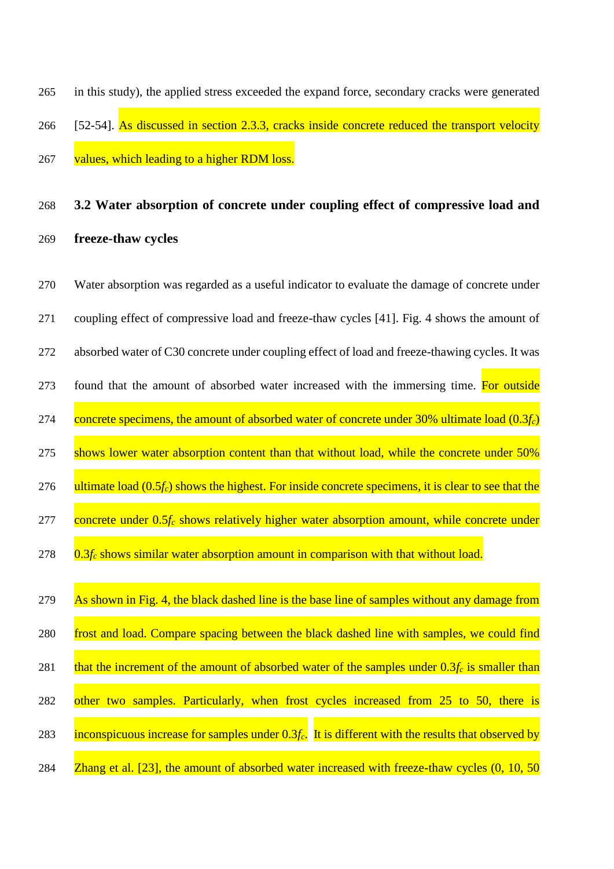in this study), the applied stress exceeded the expand force, secondary cracks were generated [\[52-54\]](#page-24-15). As discussed in section 2.3.3, cracks inside concrete reduced the transport velocity 267 values, which leading to a higher RDM loss.

## **3.2 Water absorption of concrete under coupling effect of compressive load and freeze-thaw cycles**

 Water absorption was regarded as a useful indicator to evaluate the damage of concrete under coupling effect of compressive load and freeze-thaw cycles [\[41\]](#page-24-4). [Fig. 4](#page-33-0) shows the amount of absorbed water of C30 concrete under coupling effect of load and freeze-thawing cycles. It was 273 found that the amount of absorbed water increased with the immersing time. For outside concrete specimens, the amount of absorbed water of concrete under 30% ultimate load (0.3*fc*) 275 shows lower water absorption content than that without load, while the concrete under 50% ultimate load (0.5*fc*) shows the highest. For inside concrete specimens, it is clear to see that the concrete under 0.5*f<sup>c</sup>* shows relatively higher water absorption amount, while concrete under 0.3*f<sup>c</sup>* shows similar water absorption amount in comparison with that without load. 279 As shown in [Fig. 4,](#page-33-0) the black dashed line is the base line of samples without any damage from 280 frost and load. Compare spacing between the black dashed line with samples, we could find 281 that the increment of the amount of absorbed water of the samples under  $0.3f_c$  is smaller than 282 other two samples. Particularly, when frost cycles increased from 25 to 50, there is inconspicuous increase for samples under 0.3*fc*. It is different with the results that observed by **Zhang et al.** [23], the amount of absorbed water increased with freeze-thaw cycles (0, 10, 50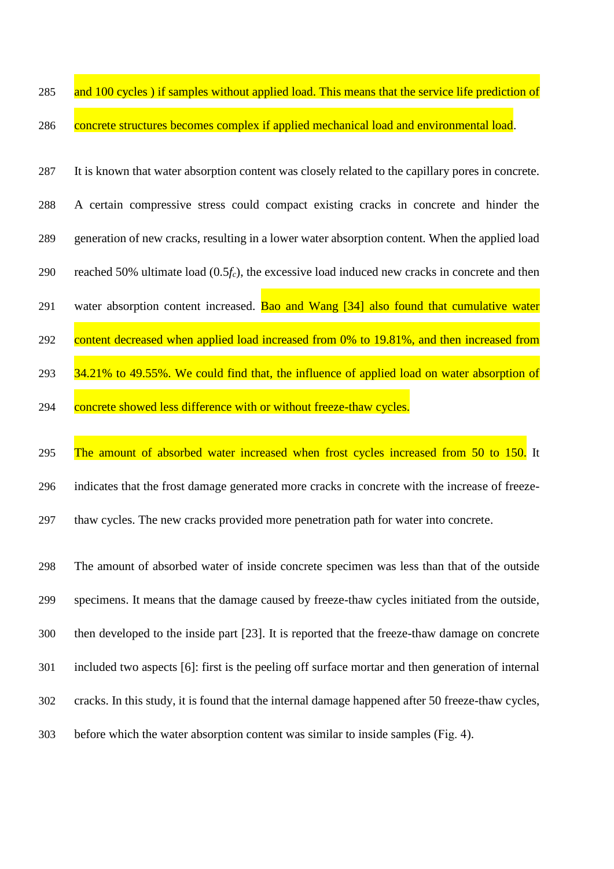- 285 and 100 cycles) if samples without applied load. This means that the service life prediction of 286 concrete structures becomes complex if applied mechanical load and environmental load.
- It is known that water absorption content was closely related to the capillary pores in concrete. A certain compressive stress could compact existing cracks in concrete and hinder the generation of new cracks, resulting in a lower water absorption content. When the applied load reached 50% ultimate load (0.5*fc*), the excessive load induced new cracks in concrete and then 291 water absorption content increased. [Bao and Wang \[34\]](#page-23-11) also found that cumulative water 292 content decreased when applied load increased from 0% to 19.81%, and then increased from 293 34.21% to 49.55%. We could find that, the influence of applied load on water absorption of 294 concrete showed less difference with or without freeze-thaw cycles.
- 295 The amount of absorbed water increased when frost cycles increased from 50 to 150. It indicates that the frost damage generated more cracks in concrete with the increase of freeze-thaw cycles. The new cracks provided more penetration path for water into concrete.

 The amount of absorbed water of inside concrete specimen was less than that of the outside specimens. It means that the damage caused by freeze-thaw cycles initiated from the outside, then developed to the inside part [\[23\]](#page-23-4). It is reported that the freeze-thaw damage on concrete included two aspects [\[6\]](#page-22-5): first is the peeling off surface mortar and then generation of internal cracks. In this study, it is found that the internal damage happened after 50 freeze-thaw cycles, before which the water absorption content was similar to inside samples [\(Fig. 4\)](#page-33-0).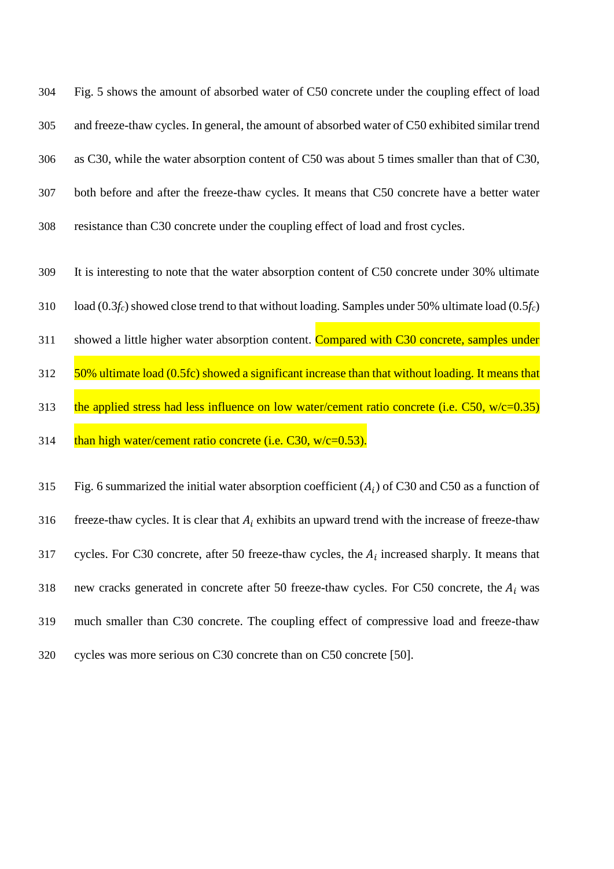[Fig. 5](#page-34-0) shows the amount of absorbed water of C50 concrete under the coupling effect of load and freeze-thaw cycles. In general, the amount of absorbed water of C50 exhibited similar trend as C30, while the water absorption content of C50 was about 5 times smaller than that of C30, both before and after the freeze-thaw cycles. It means that C50 concrete have a better water resistance than C30 concrete under the coupling effect of load and frost cycles.

309 It is interesting to note that the water absorption content of C50 concrete under 30% ultimate

310 load (0.3*fc*) showed close trend to that without loading. Samples under 50% ultimate load (0.5*fc*)

311 showed a little higher water absorption content. Compared with C30 concrete, samples under

312 50% ultimate load (0.5fc) showed a significant increase than that without loading. It means that 313 the applied stress had less influence on low water/cement ratio concrete (i.e. C50, w/c=0.35)

314  $\frac{\text{than high water/cement ratio concrete (i.e. C30, w/c=0.53)}$ .

315 [Fig. 6](#page-35-0) summarized the initial water absorption coefficient  $(A_i)$  of C30 and C50 as a function of 316 freeze-thaw cycles. It is clear that  $A_i$  exhibits an upward trend with the increase of freeze-thaw 317 cycles. For C30 concrete, after 50 freeze-thaw cycles, the  $A_i$  increased sharply. It means that 318 new cracks generated in concrete after 50 freeze-thaw cycles. For C50 concrete, the  $A_i$  was 319 much smaller than C30 concrete. The coupling effect of compressive load and freeze-thaw 320 cycles was more serious on C30 concrete than on C50 concrete [\[50\]](#page-24-13).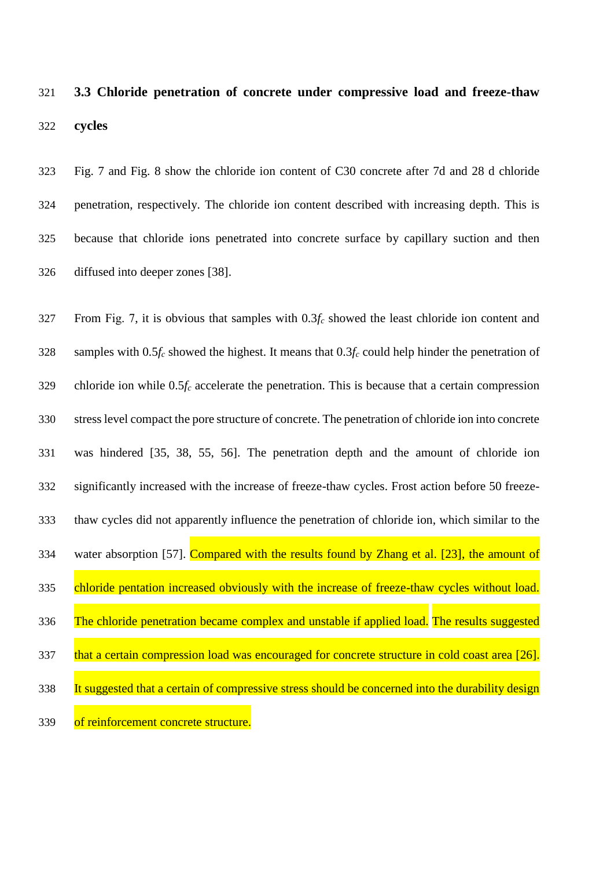# **3.3 Chloride penetration of concrete under compressive load and freeze-thaw cycles**

 [Fig. 7](#page-36-0) and [Fig. 8](#page-37-0) show the chloride ion content of C30 concrete after 7d and 28 d chloride penetration, respectively. The chloride ion content described with increasing depth. This is because that chloride ions penetrated into concrete surface by capillary suction and then diffused into deeper zones [\[38\]](#page-24-1).

| 327 | From Fig. 7, it is obvious that samples with $0.3f_c$ showed the least chloride ion content and       |
|-----|-------------------------------------------------------------------------------------------------------|
| 328 | samples with $0.5f_c$ showed the highest. It means that $0.3f_c$ could help hinder the penetration of |
| 329 | chloride ion while $0.5f_c$ accelerate the penetration. This is because that a certain compression    |
| 330 | stress level compact the pore structure of concrete. The penetration of chloride ion into concrete    |
| 331 | was hindered [35, 38, 55, 56]. The penetration depth and the amount of chloride ion                   |
| 332 | significantly increased with the increase of freeze-thaw cycles. Frost action before 50 freeze-       |
| 333 | thaw cycles did not apparently influence the penetration of chloride ion, which similar to the        |
| 334 | water absorption [57]. Compared with the results found by Zhang et al. [23], the amount of            |
| 335 | chloride pentation increased obviously with the increase of freeze-thaw cycles without load.          |
| 336 | The chloride penetration became complex and unstable if applied load. The results suggested           |
| 337 | that a certain compression load was encouraged for concrete structure in cold coast area [26].        |
| 338 | It suggested that a certain of compressive stress should be concerned into the durability design      |
| 339 | of reinforcement concrete structure.                                                                  |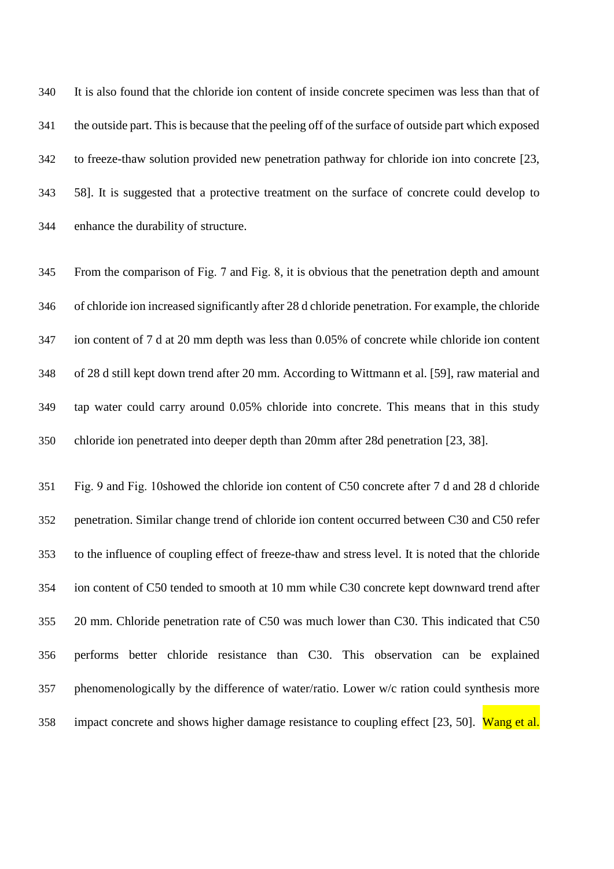It is also found that the chloride ion content of inside concrete specimen was less than that of the outside part. This is because that the peeling off of the surface of outside part which exposed to freeze-thaw solution provided new penetration pathway for chloride ion into concrete [\[23,](#page-23-4) [58\]](#page-25-3). It is suggested that a protective treatment on the surface of concrete could develop to enhance the durability of structure.

 From the comparison of [Fig. 7](#page-36-0) and [Fig. 8,](#page-37-0) it is obvious that the penetration depth and amount of chloride ion increased significantly after 28 d chloride penetration. For example, the chloride ion content of 7 d at 20 mm depth was less than 0.05% of concrete while chloride ion content of 28 d still kept down trend after 20 mm. According to [Wittmann et al. \[59\],](#page-25-4) raw material and tap water could carry around 0.05% chloride into concrete. This means that in this study chloride ion penetrated into deeper depth than 20mm after 28d penetration [\[23,](#page-23-4) [38\]](#page-24-1).

 [Fig. 9](#page-38-0) and [Fig. 10s](#page-39-0)howed the chloride ion content of C50 concrete after 7 d and 28 d chloride penetration. Similar change trend of chloride ion content occurred between C30 and C50 refer to the influence of coupling effect of freeze-thaw and stress level. It is noted that the chloride ion content of C50 tended to smooth at 10 mm while C30 concrete kept downward trend after 20 mm. Chloride penetration rate of C50 was much lower than C30. This indicated that C50 performs better chloride resistance than C30. This observation can be explained 357 phenomenologically by the difference of water/ratio. Lower w/c ration could synthesis more 358 impact concrete and shows higher damage resistance to coupling effect [\[23,](#page-23-4) [50\]](#page-24-13). Wang et al.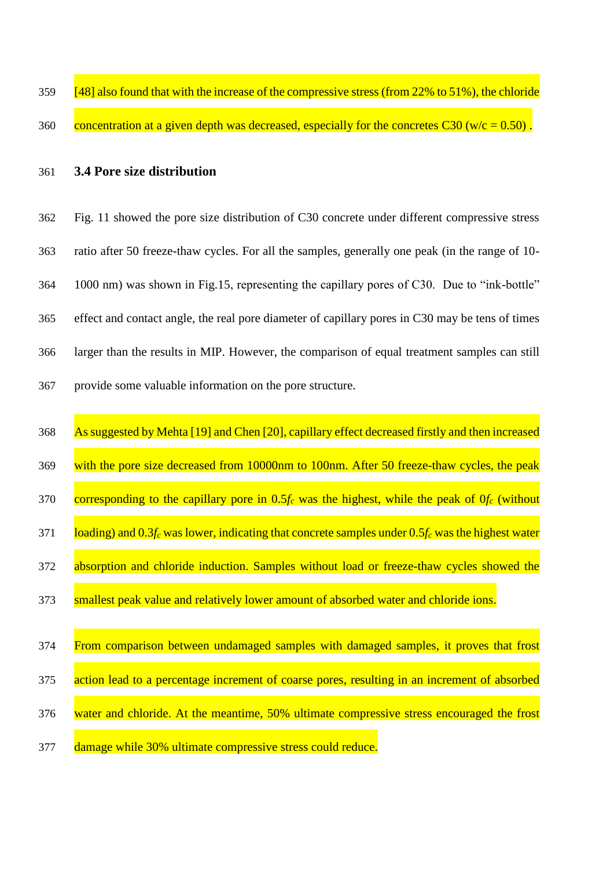| 359 | [48] also found that with the increase of the compressive stress (from $22\%$ to $51\%$ ), the chloride |
|-----|---------------------------------------------------------------------------------------------------------|
|     |                                                                                                         |
| 360 | concentration at a given depth was decreased, especially for the concretes $C30$ (w/c = 0.50).          |

**3.4 Pore size distribution**

 [Fig. 11](#page-40-0) showed the pore size distribution of C30 concrete under different compressive stress ratio after 50 freeze-thaw cycles. For all the samples, generally one peak (in the range of 10- 1000 nm) was shown in Fig.15, representing the capillary pores of C30. Due to "ink-bottle" effect and contact angle, the real pore diameter of capillary pores in C30 may be tens of times larger than the results in MIP. However, the comparison of equal treatment samples can still provide some valuable information on the pore structure.

 As suggested by [Mehta \[19\]](#page-23-0) and [Chen \[20\],](#page-23-1) capillary effect decreased firstly and then increased 369 with the pore size decreased from 10000nm to 100nm. After 50 freeze-thaw cycles, the peak corresponding to the capillary pore in 0.5*f<sup>c</sup>* was the highest, while the peak of 0*f<sup>c</sup>* (without loading) and 0.3*f<sup>c</sup>* was lower, indicating that concrete samples under 0.5*f<sup>c</sup>* was the highest water 372 absorption and chloride induction. Samples without load or freeze-thaw cycles showed the 373 smallest peak value and relatively lower amount of absorbed water and chloride ions. From comparison between undamaged samples with damaged samples, it proves that frost action lead to a percentage increment of coarse pores, resulting in an increment of absorbed water and chloride. At the meantime, 50% ultimate compressive stress encouraged the frost 377 damage while 30% ultimate compressive stress could reduce.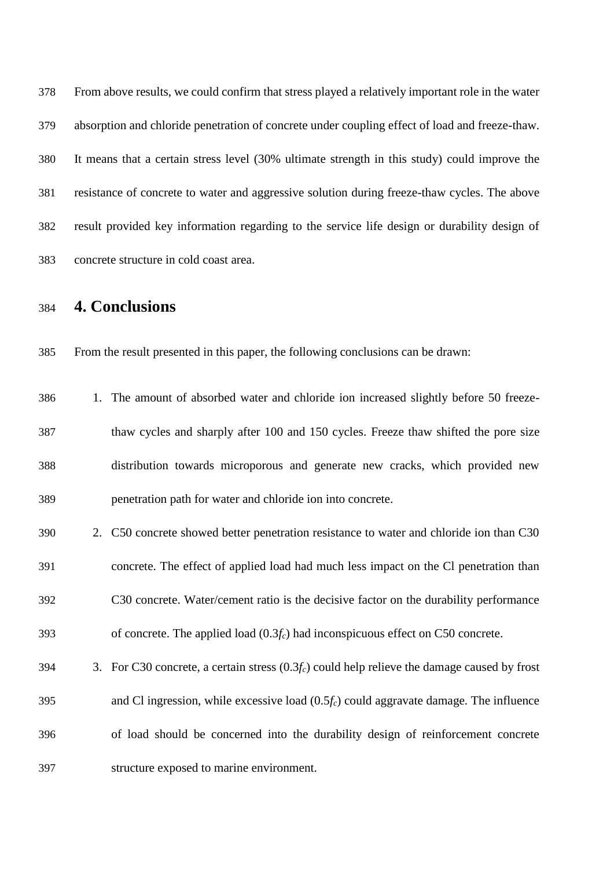From above results, we could confirm that stress played a relatively important role in the water absorption and chloride penetration of concrete under coupling effect of load and freeze-thaw. It means that a certain stress level (30% ultimate strength in this study) could improve the resistance of concrete to water and aggressive solution during freeze-thaw cycles. The above result provided key information regarding to the service life design or durability design of concrete structure in cold coast area.

### **4. Conclusions**

From the result presented in this paper, the following conclusions can be drawn:

- 1. The amount of absorbed water and chloride ion increased slightly before 50 freeze- thaw cycles and sharply after 100 and 150 cycles. Freeze thaw shifted the pore size distribution towards microporous and generate new cracks, which provided new penetration path for water and chloride ion into concrete.
- 2. C50 concrete showed better penetration resistance to water and chloride ion than C30 concrete. The effect of applied load had much less impact on the Cl penetration than C30 concrete. Water/cement ratio is the decisive factor on the durability performance of concrete. The applied load (0.3*fc*) had inconspicuous effect on C50 concrete. 3. For C30 concrete, a certain stress (0.3*fc*) could help relieve the damage caused by frost
- of load should be concerned into the durability design of reinforcement concrete structure exposed to marine environment.

and Cl ingression, while excessive load (0.5*fc*) could aggravate damage. The influence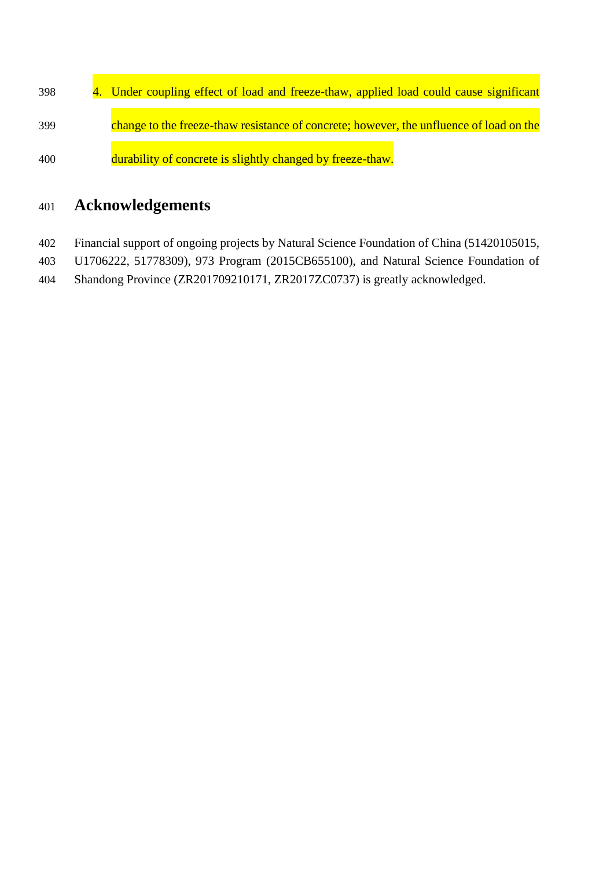398 4. Under coupling effect of load and freeze-thaw, applied load could cause significant change to the freeze-thaw resistance of concrete; however, the unfluence of load on the durability of concrete is slightly changed by freeze-thaw.

## **Acknowledgements**

- Financial support of ongoing projects by Natural Science Foundation of China (51420105015,
- U1706222, 51778309), 973 Program (2015CB655100), and Natural Science Foundation of
- Shandong Province (ZR201709210171, ZR2017ZC0737) is greatly acknowledged.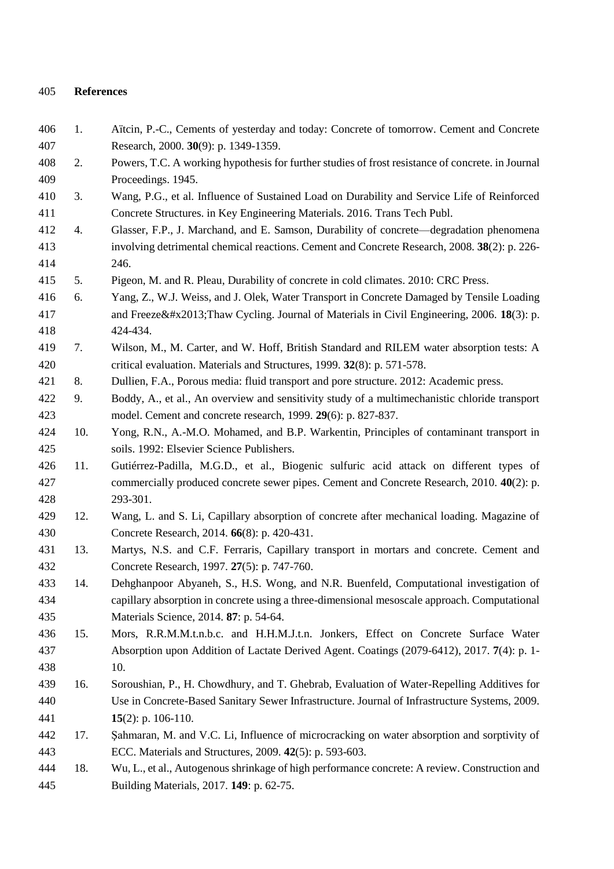#### **References**

<span id="page-22-10"></span><span id="page-22-9"></span><span id="page-22-8"></span><span id="page-22-7"></span><span id="page-22-6"></span><span id="page-22-5"></span><span id="page-22-4"></span><span id="page-22-3"></span><span id="page-22-2"></span><span id="page-22-1"></span><span id="page-22-0"></span> 1. Aı̈tcin, P.-C., Cements of yesterday and today: Concrete of tomorrow. Cement and Concrete Research, 2000. **30**(9): p. 1349-1359. 2. Powers, T.C. A working hypothesis for further studies of frost resistance of concrete. in Journal Proceedings. 1945. 3. Wang, P.G., et al. Influence of Sustained Load on Durability and Service Life of Reinforced Concrete Structures. in Key Engineering Materials. 2016. Trans Tech Publ. 4. Glasser, F.P., J. Marchand, and E. Samson, Durability of concrete—degradation phenomena involving detrimental chemical reactions. Cement and Concrete Research, 2008. **38**(2): p. 226- 246. 5. Pigeon, M. and R. Pleau, Durability of concrete in cold climates. 2010: CRC Press. 6. Yang, Z., W.J. Weiss, and J. Olek, Water Transport in Concrete Damaged by Tensile Loading 417 and Freeze– Thaw Cycling. Journal of Materials in Civil Engineering, 2006. **18**(3): p. 424-434. 7. Wilson, M., M. Carter, and W. Hoff, British Standard and RILEM water absorption tests: A critical evaluation. Materials and Structures, 1999. **32**(8): p. 571-578. 8. Dullien, F.A., Porous media: fluid transport and pore structure. 2012: Academic press. 9. Boddy, A., et al., An overview and sensitivity study of a multimechanistic chloride transport model. Cement and concrete research, 1999. **29**(6): p. 827-837. 10. Yong, R.N., A.-M.O. Mohamed, and B.P. Warkentin, Principles of contaminant transport in soils. 1992: Elsevier Science Publishers. 11. Gutiérrez-Padilla, M.G.D., et al., Biogenic sulfuric acid attack on different types of commercially produced concrete sewer pipes. Cement and Concrete Research, 2010. **40**(2): p. 293-301. 12. Wang, L. and S. Li, Capillary absorption of concrete after mechanical loading. Magazine of Concrete Research, 2014. **66**(8): p. 420-431. 13. Martys, N.S. and C.F. Ferraris, Capillary transport in mortars and concrete. Cement and Concrete Research, 1997. **27**(5): p. 747-760. 14. Dehghanpoor Abyaneh, S., H.S. Wong, and N.R. Buenfeld, Computational investigation of capillary absorption in concrete using a three-dimensional mesoscale approach. Computational Materials Science, 2014. **87**: p. 54-64. 15. Mors, R.R.M.M.t.n.b.c. and H.H.M.J.t.n. Jonkers, Effect on Concrete Surface Water Absorption upon Addition of Lactate Derived Agent. Coatings (2079-6412), 2017. **7**(4): p. 1- 10. 16. Soroushian, P., H. Chowdhury, and T. Ghebrab, Evaluation of Water-Repelling Additives for Use in Concrete-Based Sanitary Sewer Infrastructure. Journal of Infrastructure Systems, 2009. **15**(2): p. 106-110. 17. Şahmaran, M. and V.C. Li, Influence of microcracking on water absorption and sorptivity of ECC. Materials and Structures, 2009. **42**(5): p. 593-603. 18. Wu, L., et al., Autogenous shrinkage of high performance concrete: A review. Construction and Building Materials, 2017. **149**: p. 62-75.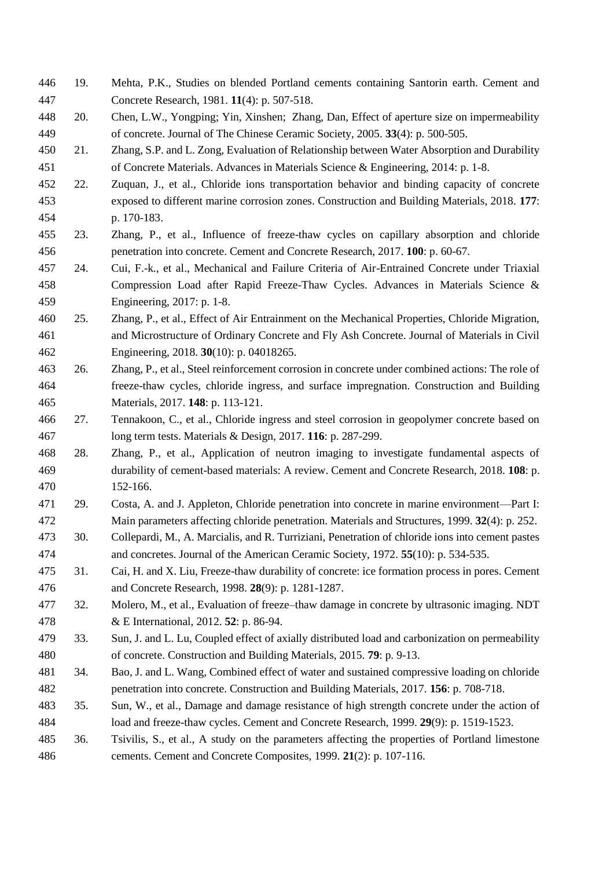- <span id="page-23-0"></span> 19. Mehta, P.K., Studies on blended Portland cements containing Santorin earth. Cement and Concrete Research, 1981. **11**(4): p. 507-518.
- <span id="page-23-1"></span> 20. Chen, L.W., Yongping; Yin, Xinshen; Zhang, Dan, Effect of aperture size on impermeability of concrete. Journal of The Chinese Ceramic Society, 2005. **33**(4): p. 500-505.
- <span id="page-23-2"></span> 21. Zhang, S.P. and L. Zong, Evaluation of Relationship between Water Absorption and Durability of Concrete Materials. Advances in Materials Science & Engineering, 2014: p. 1-8.
- <span id="page-23-3"></span> 22. Zuquan, J., et al., Chloride ions transportation behavior and binding capacity of concrete exposed to different marine corrosion zones. Construction and Building Materials, 2018. **177**: p. 170-183.
- <span id="page-23-4"></span> 23. Zhang, P., et al., Influence of freeze-thaw cycles on capillary absorption and chloride penetration into concrete. Cement and Concrete Research, 2017. **100**: p. 60-67.
- 24. Cui, F.-k., et al., Mechanical and Failure Criteria of Air-Entrained Concrete under Triaxial Compression Load after Rapid Freeze-Thaw Cycles. Advances in Materials Science & Engineering, 2017: p. 1-8.
- 25. Zhang, P., et al., Effect of Air Entrainment on the Mechanical Properties, Chloride Migration, and Microstructure of Ordinary Concrete and Fly Ash Concrete. Journal of Materials in Civil Engineering, 2018. **30**(10): p. 04018265.
- <span id="page-23-5"></span> 26. Zhang, P., et al., Steel reinforcement corrosion in concrete under combined actions: The role of freeze-thaw cycles, chloride ingress, and surface impregnation. Construction and Building Materials, 2017. **148**: p. 113-121.
- 27. Tennakoon, C., et al., Chloride ingress and steel corrosion in geopolymer concrete based on long term tests. Materials & Design, 2017. **116**: p. 287-299.
- 28. Zhang, P., et al., Application of neutron imaging to investigate fundamental aspects of durability of cement-based materials: A review. Cement and Concrete Research, 2018. **108**: p. 152-166.
- <span id="page-23-6"></span> 29. Costa, A. and J. Appleton, Chloride penetration into concrete in marine environment—Part I: Main parameters affecting chloride penetration. Materials and Structures, 1999. **32**(4): p. 252.
- <span id="page-23-7"></span> 30. Collepardi, M., A. Marcialis, and R. Turriziani, Penetration of chloride ions into cement pastes and concretes. Journal of the American Ceramic Society, 1972. **55**(10): p. 534-535.
- <span id="page-23-8"></span> 31. Cai, H. and X. Liu, Freeze-thaw durability of concrete: ice formation process in pores. Cement and Concrete Research, 1998. **28**(9): p. 1281-1287.
- <span id="page-23-9"></span> 32. Molero, M., et al., Evaluation of freeze–thaw damage in concrete by ultrasonic imaging. NDT & E International, 2012. **52**: p. 86-94.
- <span id="page-23-10"></span> 33. Sun, J. and L. Lu, Coupled effect of axially distributed load and carbonization on permeability of concrete. Construction and Building Materials, 2015. **79**: p. 9-13.
- <span id="page-23-11"></span> 34. Bao, J. and L. Wang, Combined effect of water and sustained compressive loading on chloride penetration into concrete. Construction and Building Materials, 2017. **156**: p. 708-718.
- <span id="page-23-12"></span> 35. Sun, W., et al., Damage and damage resistance of high strength concrete under the action of load and freeze-thaw cycles. Cement and Concrete Research, 1999. **29**(9): p. 1519-1523.
- <span id="page-23-13"></span> 36. Tsivilis, S., et al., A study on the parameters affecting the properties of Portland limestone cements. Cement and Concrete Composites, 1999. **21**(2): p. 107-116.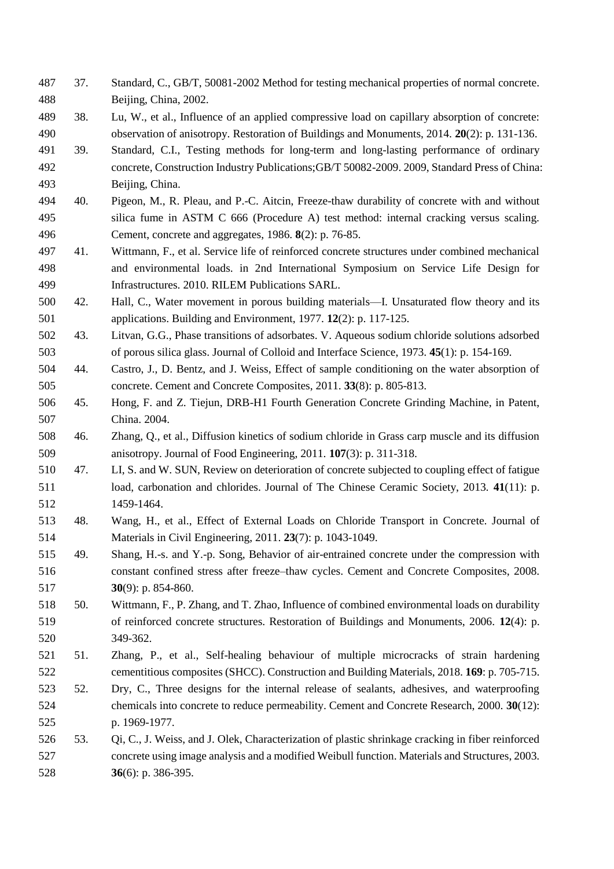- <span id="page-24-0"></span> 37. Standard, C., GB/T, 50081-2002 Method for testing mechanical properties of normal concrete. Beijing, China, 2002.
- <span id="page-24-1"></span> 38. Lu, W., et al., Influence of an applied compressive load on capillary absorption of concrete: observation of anisotropy. Restoration of Buildings and Monuments, 2014. **20**(2): p. 131-136.
- <span id="page-24-2"></span> 39. Standard, C.I., Testing methods for long-term and long-lasting performance of ordinary concrete, Construction Industry Publications;GB/T 50082-2009. 2009, Standard Press of China: Beijing, China.
- <span id="page-24-3"></span> 40. Pigeon, M., R. Pleau, and P.-C. Aitcin, Freeze-thaw durability of concrete with and without silica fume in ASTM C 666 (Procedure A) test method: internal cracking versus scaling. Cement, concrete and aggregates, 1986. **8**(2): p. 76-85.
- <span id="page-24-4"></span> 41. Wittmann, F., et al. Service life of reinforced concrete structures under combined mechanical and environmental loads. in 2nd International Symposium on Service Life Design for Infrastructures. 2010. RILEM Publications SARL.
- <span id="page-24-5"></span> 42. Hall, C., Water movement in porous building materials—I. Unsaturated flow theory and its applications. Building and Environment, 1977. **12**(2): p. 117-125.
- <span id="page-24-6"></span> 43. Litvan, G.G., Phase transitions of adsorbates. V. Aqueous sodium chloride solutions adsorbed of porous silica glass. Journal of Colloid and Interface Science, 1973. **45**(1): p. 154-169.
- <span id="page-24-7"></span> 44. Castro, J., D. Bentz, and J. Weiss, Effect of sample conditioning on the water absorption of concrete. Cement and Concrete Composites, 2011. **33**(8): p. 805-813.
- <span id="page-24-8"></span> 45. Hong, F. and Z. Tiejun, DRB-H1 Fourth Generation Concrete Grinding Machine, in Patent, China. 2004.
- <span id="page-24-9"></span> 46. Zhang, Q., et al., Diffusion kinetics of sodium chloride in Grass carp muscle and its diffusion anisotropy. Journal of Food Engineering, 2011. **107**(3): p. 311-318.
- <span id="page-24-10"></span> 47. LI, S. and W. SUN, Review on deterioration of concrete subjected to coupling effect of fatigue load, carbonation and chlorides. Journal of The Chinese Ceramic Society, 2013. **41**(11): p. 1459-1464.
- <span id="page-24-11"></span> 48. Wang, H., et al., Effect of External Loads on Chloride Transport in Concrete. Journal of Materials in Civil Engineering, 2011. **23**(7): p. 1043-1049.
- <span id="page-24-12"></span> 49. Shang, H.-s. and Y.-p. Song, Behavior of air-entrained concrete under the compression with constant confined stress after freeze–thaw cycles. Cement and Concrete Composites, 2008. **30**(9): p. 854-860.
- <span id="page-24-13"></span> 50. Wittmann, F., P. Zhang, and T. Zhao, Influence of combined environmental loads on durability of reinforced concrete structures. Restoration of Buildings and Monuments, 2006. **12**(4): p. 349-362.
- <span id="page-24-14"></span> 51. Zhang, P., et al., Self-healing behaviour of multiple microcracks of strain hardening cementitious composites (SHCC). Construction and Building Materials, 2018. **169**: p. 705-715.
- <span id="page-24-15"></span> 52. Dry, C., Three designs for the internal release of sealants, adhesives, and waterproofing chemicals into concrete to reduce permeability. Cement and Concrete Research, 2000. **30**(12): p. 1969-1977.
- 53. Qi, C., J. Weiss, and J. Olek, Characterization of plastic shrinkage cracking in fiber reinforced concrete using image analysis and a modified Weibull function. Materials and Structures, 2003. **36**(6): p. 386-395.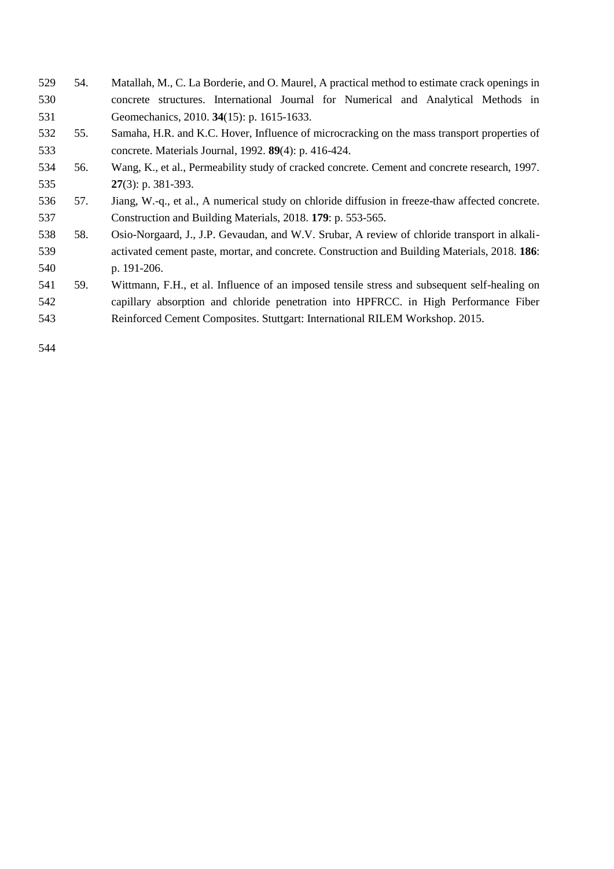- 54. Matallah, M., C. La Borderie, and O. Maurel, A practical method to estimate crack openings in concrete structures. International Journal for Numerical and Analytical Methods in Geomechanics, 2010. **34**(15): p. 1615-1633.
- <span id="page-25-0"></span> 55. Samaha, H.R. and K.C. Hover, Influence of microcracking on the mass transport properties of concrete. Materials Journal, 1992. **89**(4): p. 416-424.
- <span id="page-25-1"></span> 56. Wang, K., et al., Permeability study of cracked concrete. Cement and concrete research, 1997. **27**(3): p. 381-393.
- <span id="page-25-2"></span> 57. Jiang, W.-q., et al., A numerical study on chloride diffusion in freeze-thaw affected concrete. Construction and Building Materials, 2018. **179**: p. 553-565.
- <span id="page-25-3"></span> 58. Osio-Norgaard, J., J.P. Gevaudan, and W.V. Srubar, A review of chloride transport in alkali- activated cement paste, mortar, and concrete. Construction and Building Materials, 2018. **186**: p. 191-206.
- <span id="page-25-4"></span> 59. Wittmann, F.H., et al. Influence of an imposed tensile stress and subsequent self-healing on capillary absorption and chloride penetration into HPFRCC. in High Performance Fiber Reinforced Cement Composites. Stuttgart: International RILEM Workshop. 2015.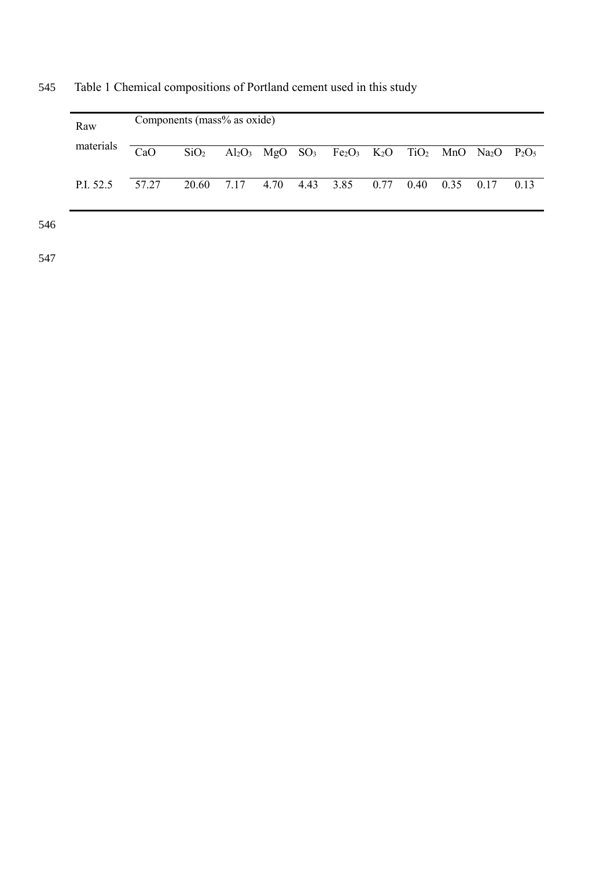| Raw       |       | Components (mass% as oxide) |  |                                                                                                                                                                                |  |  |      |
|-----------|-------|-----------------------------|--|--------------------------------------------------------------------------------------------------------------------------------------------------------------------------------|--|--|------|
| materials | CaO   |                             |  | $SiO2$ Al <sub>2</sub> O <sub>3</sub> MgO SO <sub>3</sub> Fe <sub>2</sub> O <sub>3</sub> K <sub>2</sub> O TiO <sub>2</sub> MnO Na <sub>2</sub> O P <sub>2</sub> O <sub>5</sub> |  |  |      |
| P.I. 52.5 | 57.27 | 20.60 7.17                  |  | 4.70 4.43 3.85 0.77 0.40 0.35 0.17                                                                                                                                             |  |  | 0.13 |

545 Table 1 Chemical compositions of Portland cement used in this study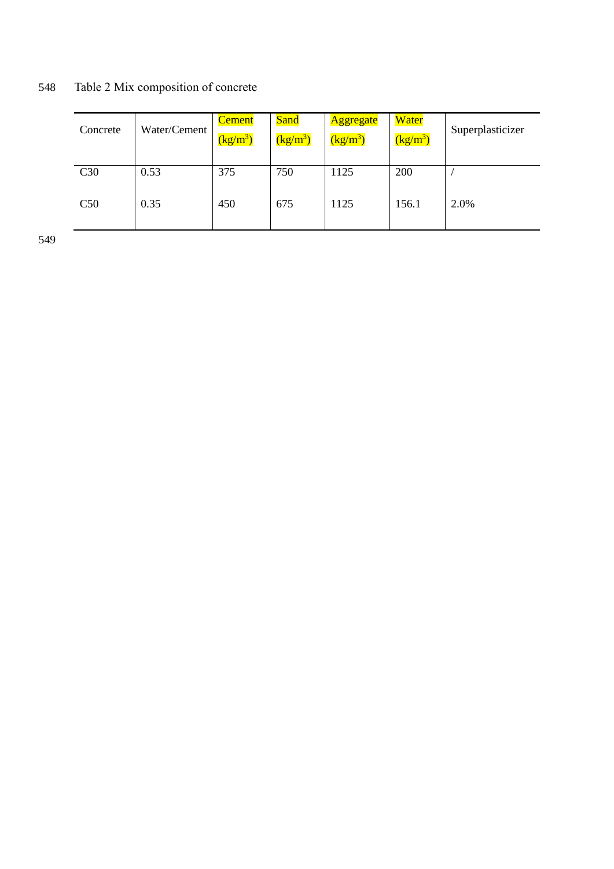548 Table 2 Mix composition of concrete

| Concrete | Water/Cement | <b>Cement</b><br>$(kg/m^3)$ | <b>Sand</b><br>$(kg/m^3)$ | <b>Aggregate</b><br>$(kg/m^3)$ | Water<br>$\left(\frac{kg}{m^3}\right)$ | Superplasticizer |
|----------|--------------|-----------------------------|---------------------------|--------------------------------|----------------------------------------|------------------|
| C30      | 0.53         | 375                         | 750                       | 1125                           | 200                                    |                  |
| C50      | 0.35         | 450                         | 675                       | 1125                           | 156.1                                  | 2.0%             |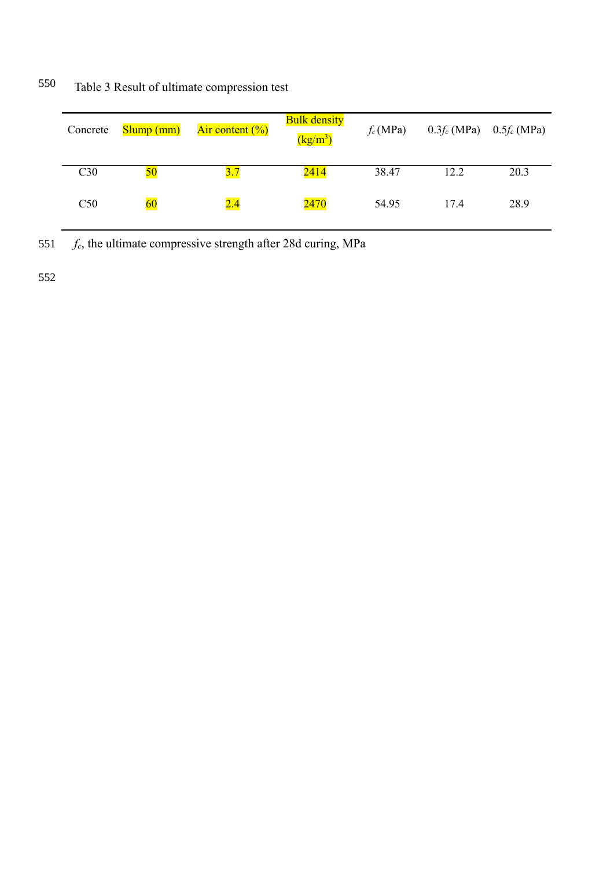| Concrete | Slump(mm) | Air content $(\%)$ | <b>Bulk density</b><br>$\left(\frac{\text{kg}}{\text{m}^3}\right)$ | $f_c(MPa)$ | $0.3f_c(MPa)$ 0.5 $f_c(MPa)$ |      |
|----------|-----------|--------------------|--------------------------------------------------------------------|------------|------------------------------|------|
| C30      | <b>50</b> | 3.7                | 2414                                                               | 38.47      | 12.2                         | 20.3 |
| C50      | $60\,$    | 2.4                | 2470                                                               | 54.95      | 17.4                         | 28.9 |

550 Table 3 Result of ultimate compression test

551 *fc*, the ultimate compressive strength after 28d curing, MPa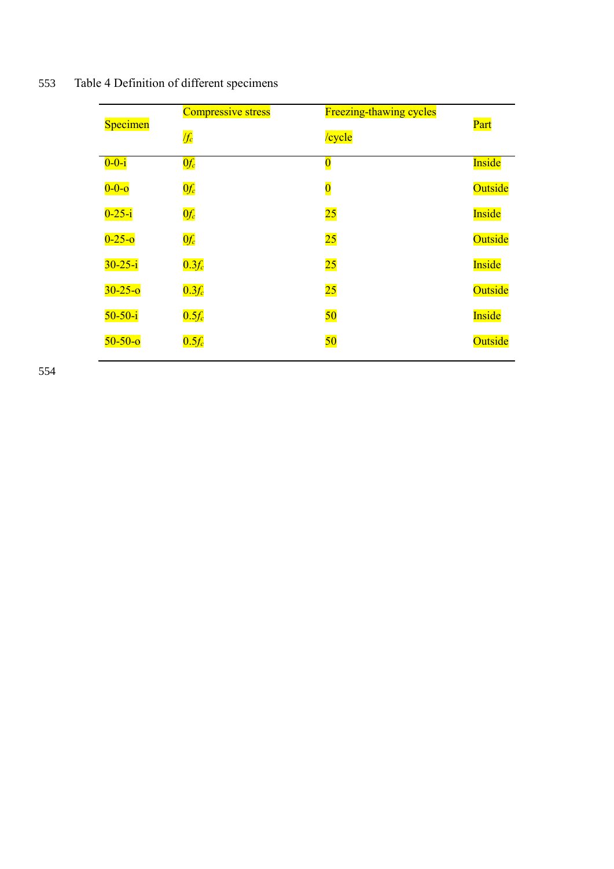|  | 553 | Table 4 Definition of different specimens |  |  |
|--|-----|-------------------------------------------|--|--|
|--|-----|-------------------------------------------|--|--|

| Specimen      | <b>Compressive stress</b> | <b>Freezing-thawing cycles</b> | Part    |
|---------------|---------------------------|--------------------------------|---------|
|               | $ f_c $                   | /cycle                         |         |
| $0 - 0 - i$   | $0 f_c$                   | $\bf{0}$                       | Inside  |
| $0 - 0 - 0$   | $0 f_c$                   | $\overline{\mathbf{0}}$        | Outside |
| $0 - 25 - i$  | $0 f_c$                   | $\overline{25}$                | Inside  |
| $0 - 25 - 0$  | $0 f_c$                   | 25                             | Outside |
| $30 - 25 - i$ | $0.3f_c$                  | $\overline{25}$                | Inside  |
| $30 - 25 - 0$ | $0.3f_c$                  | $\overline{25}$                | Outside |
| $50-50-i$     | $0.5f_c$                  | 50                             | Inside  |
| $50 - 50 - 0$ | $0.5f_c$                  | 50                             | Outside |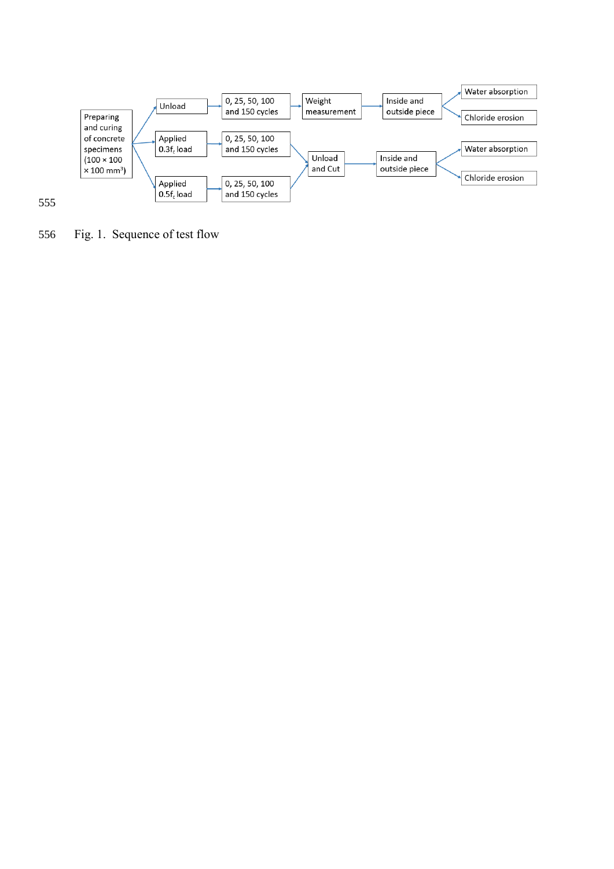

<span id="page-30-0"></span>Fig. 1. Sequence of test flow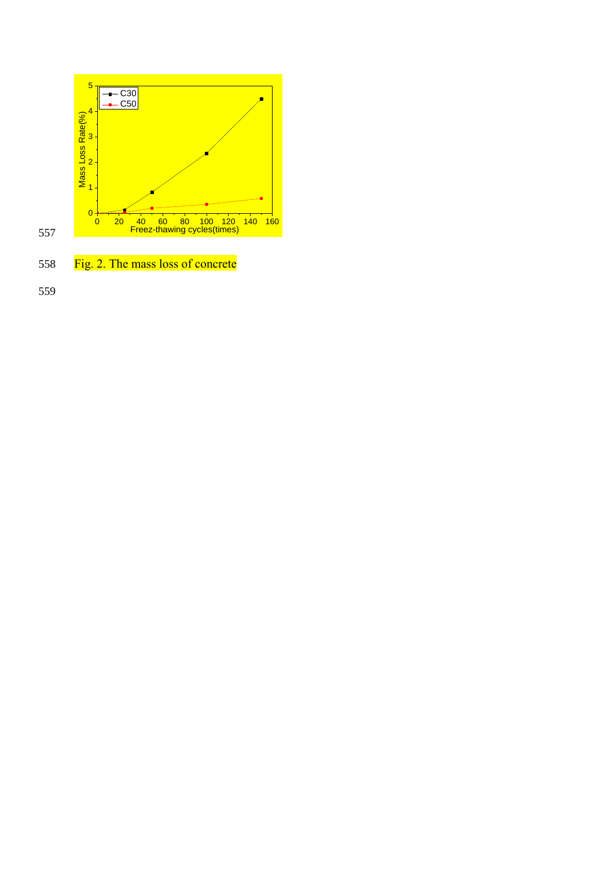<span id="page-31-0"></span>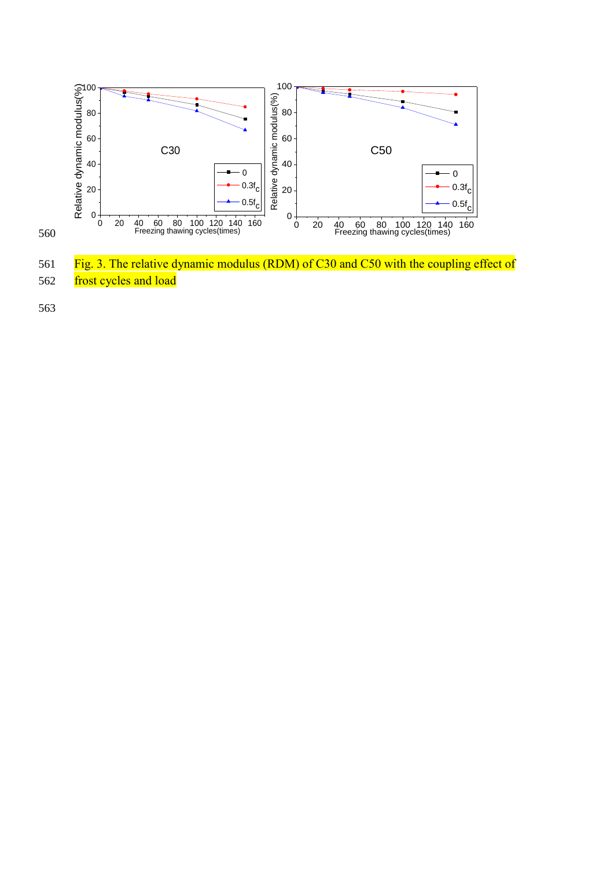

<span id="page-32-0"></span>561 Fig. 3. The relative dynamic modulus (RDM) of C30 and C50 with the coupling effect of 562 frost cycles and load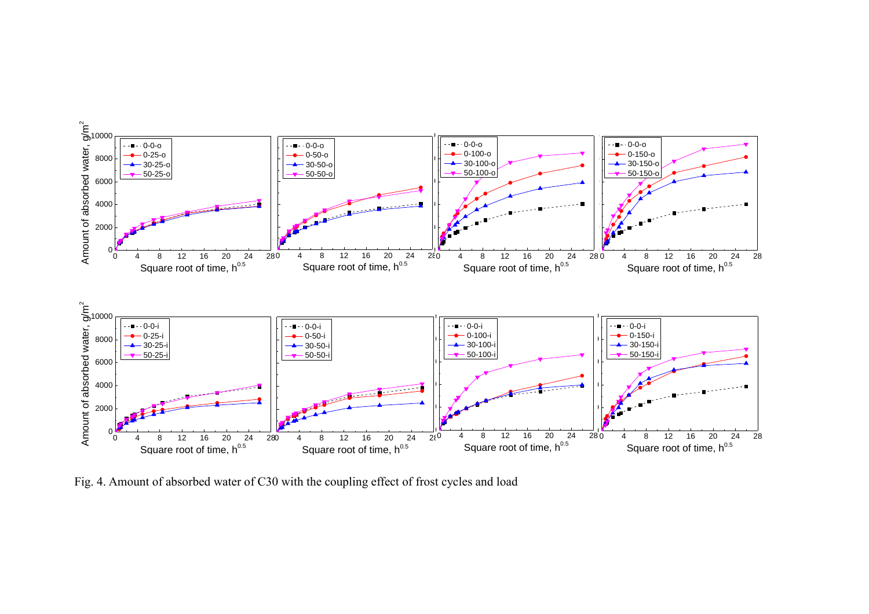

<span id="page-33-0"></span>Fig. 4. Amount of absorbed water of C30 with the coupling effect of frost cycles and load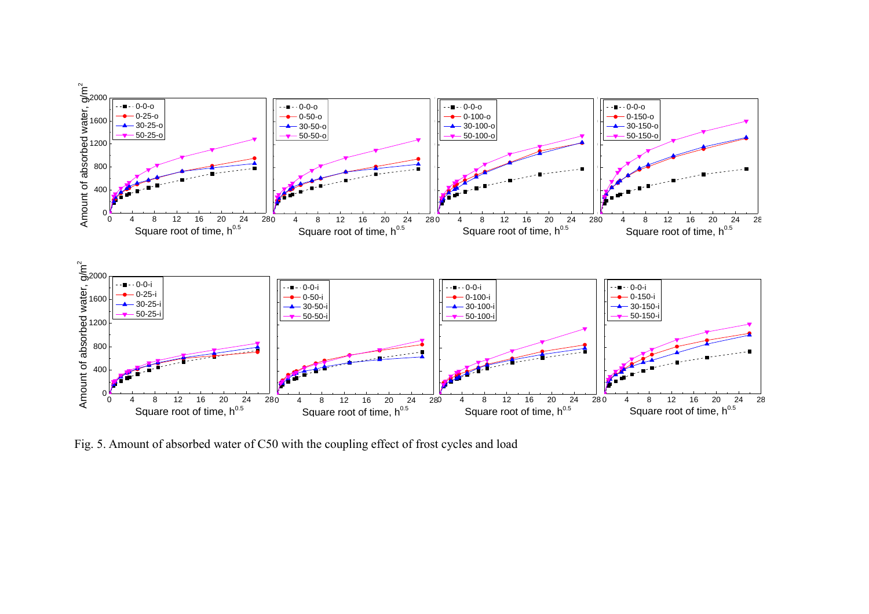

<span id="page-34-0"></span>Fig. 5. Amount of absorbed water of C50 with the coupling effect of frost cycles and load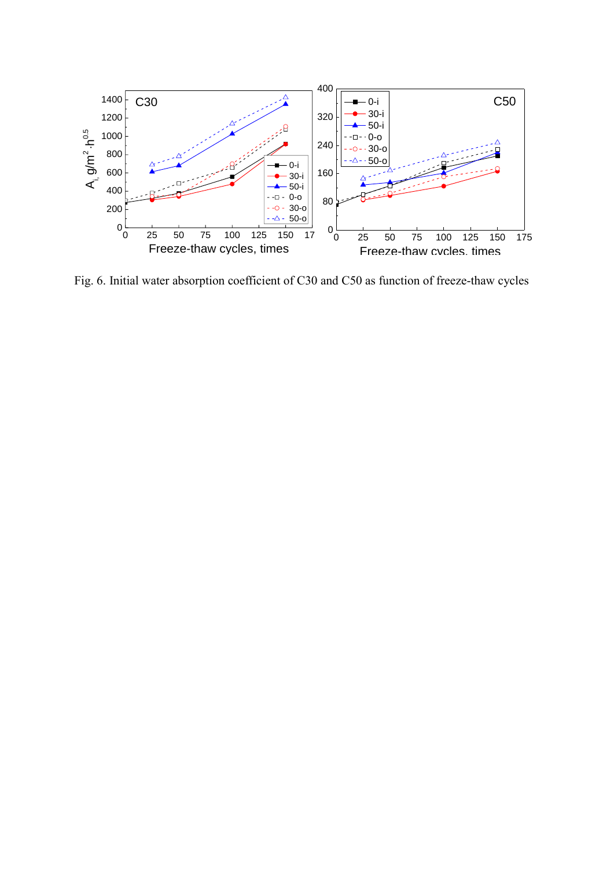

<span id="page-35-0"></span>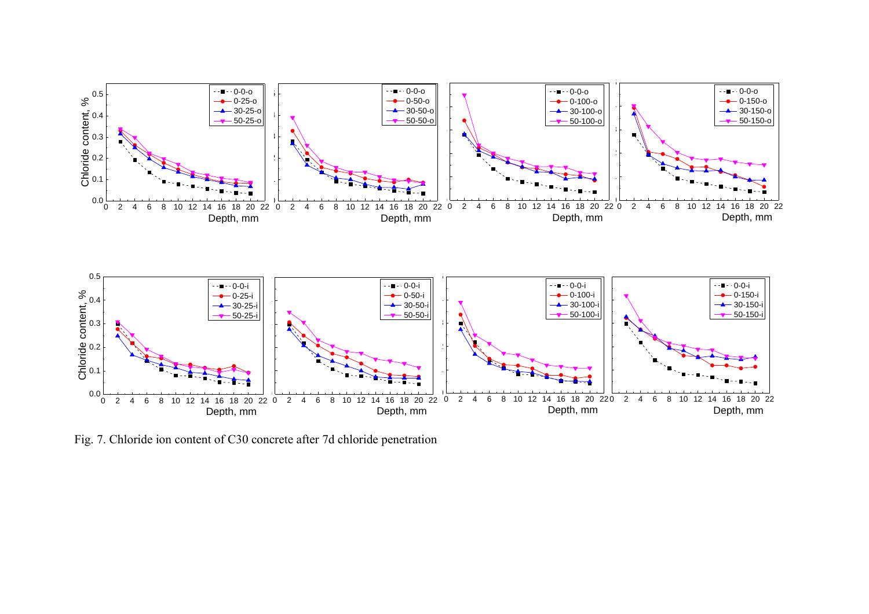

<span id="page-36-0"></span>Fig. 7. Chloride ion content of C30 concrete after 7d chloride penetration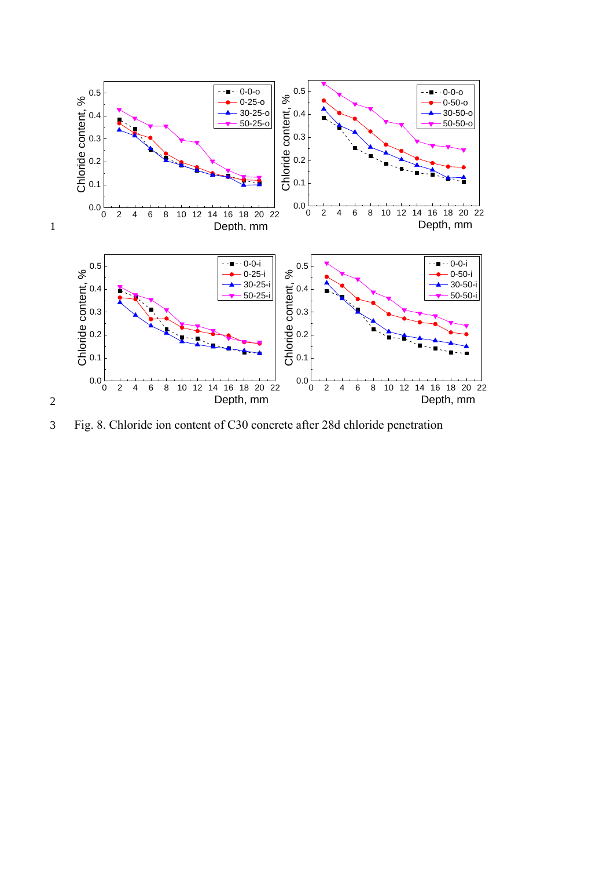

<span id="page-37-0"></span>3 Fig. 8. Chloride ion content of C30 concrete after 28d chloride penetration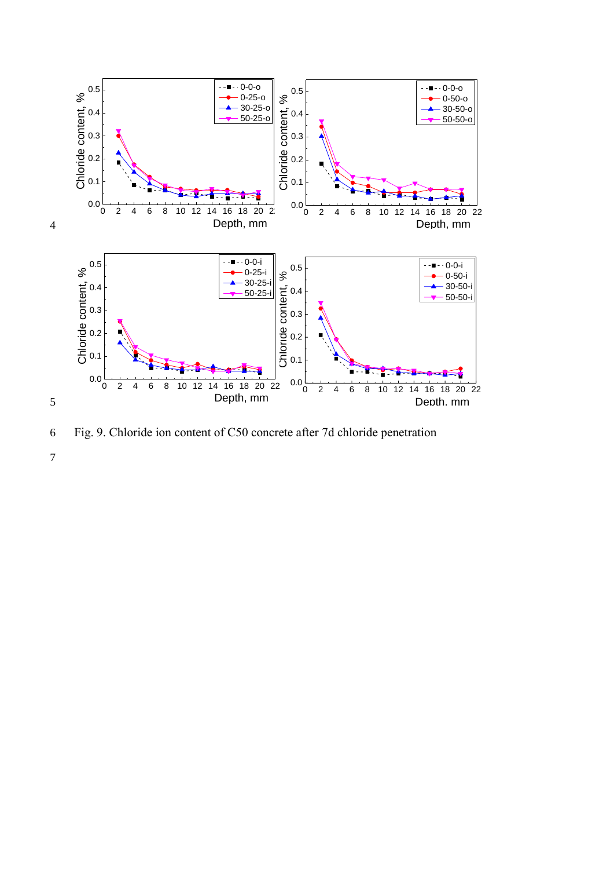

<span id="page-38-0"></span>6 Fig. 9. Chloride ion content of C50 concrete after 7d chloride penetration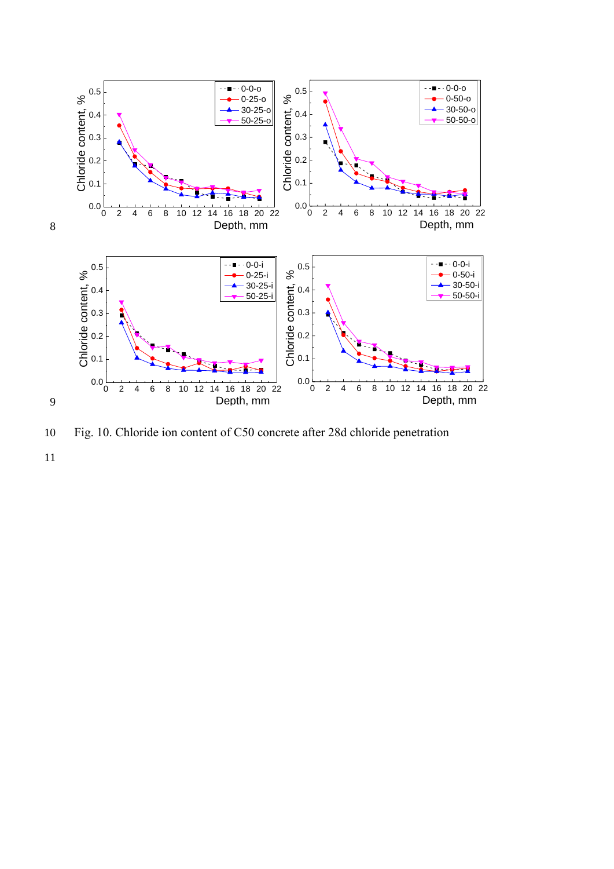

<span id="page-39-0"></span>10 Fig. 10. Chloride ion content of C50 concrete after 28d chloride penetration